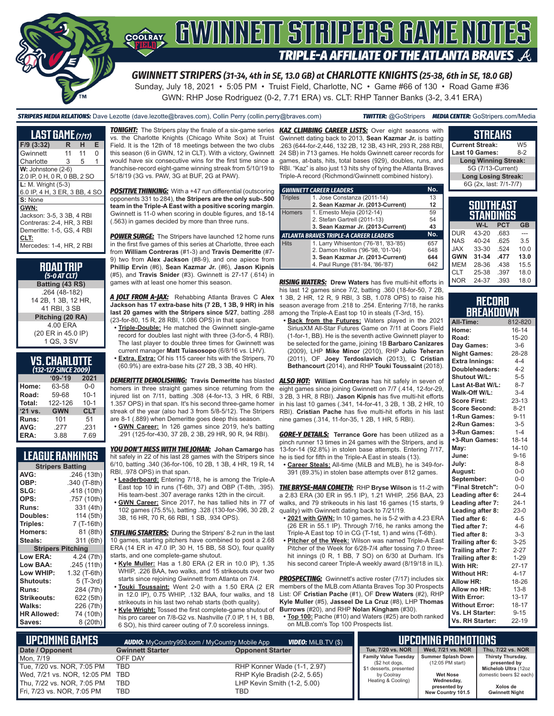

GWN: RHP Jose Rodriguez (0-2, 7.71 ERA) vs. CLT: RHP Tanner Banks (3-2, 3.41 ERA)

*STRIPERS MEDIA RELATIONS:* Dave Lezotte (dave.lezotte@braves.com), Collin Perry (collin.perry@braves.com) *TWITTER:* @GoStripers *MEDIA CENTER:* GoStripers.com/Media

| <b>LAST GAME (7/17)</b>                                                                                        |    |    |   |  |  |  |  |  |
|----------------------------------------------------------------------------------------------------------------|----|----|---|--|--|--|--|--|
| $F/9$ (3:32)                                                                                                   | R  | н  | Е |  |  |  |  |  |
| Gwinnett                                                                                                       | 11 | 11 | U |  |  |  |  |  |
| Charlotte                                                                                                      | 3  | 5  | 1 |  |  |  |  |  |
| $W:$ Johnstone (2-6)<br>2.0 IP, 0 H, 0 R, 0 BB, 2 SO                                                           |    |    |   |  |  |  |  |  |
| L: M. Wright (5-3)<br>6.0 IP, 4 H, 3 ER, 3 BB, 4 SO                                                            |    |    |   |  |  |  |  |  |
| S: None<br>GWN:<br>Jackson: 3-5, 3 3B, 4 RBI<br>Contreras: 2-4, HR, 3 RBI<br>Demeritte: 1-5, GS, 4 RBI<br>CLT: |    |    |   |  |  |  |  |  |
| Mercedes: 1-4, HR, 2 RBI                                                                                       |    |    |   |  |  |  |  |  |

| <b>ROAD TRIP</b> |  |  |
|------------------|--|--|
| $(5-0 AT CLT)$   |  |  |

**Batting (43 RS)** .264 (48-182) 14 2B, 1 3B, 12 HR, 41 RBI, 3 SB **Pitching (20 RA)** 4.00 ERA (20 ER in 45.0 IP) 1 QS, 3 SV

#### **VS. CHARLOTTE**  *(132-127 SINCE 2009)*

|         | $09 - 19$  | 2021       |
|---------|------------|------------|
| Home:   | 63-58      | $0 - 0$    |
| Road:   | 59-68      | $10 - 1$   |
| Total:  | 122-126    | $10 - 1$   |
| '21 vs. | <b>GWN</b> | <b>CLT</b> |
| Runs:   | 101        | 51         |
| AVG:    | .277       | .231       |
| ERA:    | 3.88       | 7.69       |

### **LEAGUE RANKINGS**

| <b>Stripers Batting</b>  |              |  |  |  |  |  |  |
|--------------------------|--------------|--|--|--|--|--|--|
| AVG:                     | .246 (13th)  |  |  |  |  |  |  |
| OBP:                     | .340 (T-8th) |  |  |  |  |  |  |
| SLG:                     | .418 (10th)  |  |  |  |  |  |  |
| OPS:                     | .757 (10th)  |  |  |  |  |  |  |
| <b>Runs:</b>             | 331 (4th)    |  |  |  |  |  |  |
| Doubles:                 | 114 (5th)    |  |  |  |  |  |  |
| Triples:                 | 7 (T-16th)   |  |  |  |  |  |  |
| <b>Homers:</b>           | 81 (8th)     |  |  |  |  |  |  |
| Steals:                  | 311 (6th)    |  |  |  |  |  |  |
| <b>Stripers Pitching</b> |              |  |  |  |  |  |  |
| <b>Low ERA:</b>          | 4.24 (7th)   |  |  |  |  |  |  |
| Low BAA:                 | .245 (11th)  |  |  |  |  |  |  |
| Low WHIP:                | 1.32 (T-6th) |  |  |  |  |  |  |
| <b>Shutouts:</b>         | 5 (T-3rd)    |  |  |  |  |  |  |
| <b>Runs:</b>             | 284 (7th)    |  |  |  |  |  |  |
| Strikeouts:              | 622 (5th)    |  |  |  |  |  |  |
| Walks:                   | 226 (7th)    |  |  |  |  |  |  |
| <b>HR Allowed:</b>       | 74 (10th)    |  |  |  |  |  |  |
| Saves:                   | 8 (20th)     |  |  |  |  |  |  |

vs. the Charlotte Knights (Chicago White Sox) at Truist Field. It is the 12th of 18 meetings between the two clubs this season (6 in GWN, 12 in CLT). With a victory, Gwinnett would have six consecutive wins for the first time since a franchise-record eight-game winning streak from 5/10/19 to 5/18/19 (3G vs. PAW, 3G at BUF, 2G at PAW).

**POSITIVE THINKING:** With a +47 run differential (outscoring opponents 331 to 284), **the Stripers are the only sub-.500 team in the Triple-A East with a positive scoring margin**. Gwinnett is 11-0 when scoring in double figures, and 18-14 (.563) in games decided by more than three runs.

**POWER SURGE:** The Stripers have launched 12 home runs in the first five games of this series at Charlotte, three each from **William Contreras** (#1-3) and **Travis Demeritte** (#7- 9) two from **Alex Jackson** (#8-9), and one apiece from **Phillip Ervin** (#6), **Sean Kazmar Jr.** (#6), **Jason Kipnis** (#5), and **Travis Snider** (#3). Gwinnett is 27-17 (.614) in games with at least one homer this season.

**Jackson has 17 extra-base hits (7 2B, 1 3B, 9 HR) in his last 20 games with the Stripers since 5/27**, batting .288 (23-for-80, 15 R, 28 RBI, 1.086 OPS) in that span.

- **• Triple-Double:** He matched the Gwinnett single-game record for doubles last night with three (3-for-5, 4 RBI). The last player to double three times for Gwinnett was current manager **Matt Tuiasosopo** (6/8/16 vs. LHV).
- **• Extra, Extra:** Of his 115 career hits with the Stripers, 70 (60.9%) are extra-base hits (27 2B, 3 3B, 40 HR).

*DEMERITTE DEMOLISHING:* **Travis Demeritte** has blasted *ALSO HOT:* **William Contreras** has hit safely in seven of homers in three straight games since returning from the injured list on 7/11, batting .308 (4-for-13, 3 HR, 6 RBI, 1.357 OPS) in that span. It's his second three-game homer streak of the year (also had 3 from 5/8-5/12). The Stripers are 8-1 (.889) when Demeritte goes deep this season.

**• GWN Career:** In 126 games since 2019, he's batting .291 (125-for-430, 37 2B, 2 3B, 29 HR, 90 R, 94 RBI).

*YOU DON'T MESS WITH THE JOHAN:* **Johan Camargo** has hit safely in 22 of his last 28 games with the Stripers since 6/10, batting .340 (36-for-106, 10 2B, 1 3B, 4 HR, 19 R, 14 RBI, .978 OPS) in that span.

- **• Leaderboard:** Entering 7/18, he is among the Triple-A East top 10 in runs (T-6th, 37) and OBP (T-8th, .395). His team-best .307 average ranks 12th in the circuit.
- **• GWN Career:** Since 2017, he has tallied hits in 77 of
- 102 games (75.5%), batting .328 (130-for-396, 30 2B, 2 quality) with Gwinnett dating back to 7/21/19. 3B, 16 HR, 70 R, 66 RBI, 1 SB, .934 OPS).

**STIFLING STARTERS:** During the Stripers' 8-2 run in the last 10 games, starting pitchers have combined to post a 2.68 ERA (14 ER in 47.0 IP, 30 H, 15 BB, 58 SO), four quality starts, and one complete-game shutout.

- **• Kyle Muller:** Has a 1.80 ERA (2 ER in 10.0 IP), 1.35 WHIP, .226 BAA, two walks, and 15 strikeouts over two starts since rejoining Gwinnett from Atlanta on 7/4.
- in 12.0 IP), 0.75 WHIP, .132 BAA, four walks, and 18 strikeouts in his last two rehab starts (both quality).
- **• Kyle Wright:** Tossed the first complete-game shutout of his pro career on 7/8-G2 vs. Nashville (7.0 IP, 1 H, 1 BB, 6 SO), his third career outing of 7.0 scoreless innings.

*TONIGHT:* The Stripers play the finale of a six-game series *KAZ CLIMBING CAREER LISTS:* Over eight seasons with Gwinnett dating back to 2013, **Sean Kazmar Jr.** is batting .263 (644-for-2,446, 132 2B, 12 3B, 43 HR, 293 R, 288 RBI, 24 SB) in 713 games. He holds Gwinnett career records for games, at-bats, hits, total bases (929), doubles, runs, and RBI. "Kaz" is also just 13 hits shy of tying the Atlanta Braves Triple-A record (Richmond/Gwinnett combined history).

|                | <b>GWINNETT CAREER LEADERS</b>                | No. |
|----------------|-----------------------------------------------|-----|
| <b>Triples</b> | 1. Jose Constanza (2011-14)                   | 13  |
|                | 2. Sean Kazmar Jr. (2013-Current)             | 12  |
| <b>Homers</b>  | 1. Ernesto Mejia (2012-14)                    | 59  |
|                | 2. Stefan Gartrell (2011-13)                  | 54  |
|                | 3. Sean Kazmar Jr. (2013-Current)             | 43  |
|                | <b>ATLANTA BRAVES TRIPLE-A CAREER LEADERS</b> | No. |
| <b>Hits</b>    | 1. Larry Whisenton ('76-'81, '83-'85)         | 657 |
|                | 2. Damon Hollins ('96-'98, '01-'04)           | 648 |
|                | 3. Sean Kazmar Jr. (2013-Current)             | 644 |
|                | 4. Paul Runge ('81-'84, '86-'87)              | 642 |

*A JOLT FROM A-JAX:* Rehabbing Atlanta Braves C **Alex**  1 3B, 2 HR, 12 R, 9 RBI, 3 SB, 1.078 OPS) to raise his *RISING WATERS:* **Drew Waters** has five multi-hit efforts in his last 12 games since 7/2, batting .360 (18-for-50, 7 2B, season average from .218 to .254. Entering 7/18, he ranks among the Triple-A East top 10 in steals (T-3rd, 15).

**• Back from the Futures:** Waters played in the 2021 SiriusXM All-Star Futures Game on 7/11 at Coors Field (1-for-1, BB). He is the seventh active Gwinnett player to be selected for the game, joining 1B **Barbaro Canizares** (2009), LHP **Mike Minor** (2010), RHP **Julio Teheran** (2011), OF **Joey Terdoslavich** (2013), C **Cristian Bethancourt** (2014), and RHP **Touki Toussaint** (2018).

eight games since joining Gwinnett on 7/7 (.414, 12-for-29, 3 2B, 3 HR, 8 RBI). **Jason Kipnis** has five multi-hit efforts in his last 10 games (.341, 14-for-41, 3 2B, 1 3B, 2 HR, 10 RBI). **Cristian Pache** has five multi-hit efforts in his last nine games (.314, 11-for-35, 1 2B, 1 HR, 5 RBI).

*GORE-Y DETAILS:* **Terrance Gore** has been utilized as a pinch runner 13 times in 24 games with the Stripers, and is 13-for-14 (92.8%) in stolen base attempts. Entering 7/17, he is tied for fifth in the Triple-A East in steals (13).

**• Career Steals:** All-time (MiLB and MLB), he is 349-for-391 (89.3%) in stolen base attempts over 812 games.

*THE BRYSE-MAN COMETH:* RHP **Bryse Wilson** is 11-2 with a 2.83 ERA (30 ER in 95.1 IP), 1.21 WHIP, .256 BAA, 23 walks, and 79 strikeouts in his last 16 games (15 starts, 9

- **• 2021 with GWN:** In 10 games, he is 5-2 with a 4.23 ERA (26 ER in 55.1 IP). Through 7/16, he ranks among the Triple-A East top 10 in CG (T-1st, 1) and wins (T-6th).
- **• Pitcher of the Week:** Wilson was named Triple-A East Pitcher of the Week for 6/28-7/4 after tossing 7.0 threehit innings (0 R, 1 BB, 7 SO) on 6/30 at Durham. It's his second career Triple-A weekly award (8/19/18 in IL).

**• Touki Toussaint:** Went 2-0 with a 1.50 ERA (2 ER members of the MLB.com Atlanta Braves Top 30 Prospects **PROSPECTING:** Gwinnett's active roster (7/17) includes six List: OF **Cristian Pache** (#1), OF **Drew Waters** (#2), RHP **Kyle Muller** (#5), **Jasseel De La Cruz** (#8), LHP **Thomas Burrows** (#20), and RHP **Nolan Kingham** (#30).

> **• Top 100:** Pache (#10) and Waters (#25) are both ranked on MLB.com's Top 100 Prospects list.

| <b>Current Streak:</b>      | W5    |  |  |  |  |
|-----------------------------|-------|--|--|--|--|
| Last 10 Games:              | $8-2$ |  |  |  |  |
| <b>Long Winning Streak:</b> |       |  |  |  |  |
| 5G (7/13-Current)           |       |  |  |  |  |
| <b>Long Losing Streak:</b>  |       |  |  |  |  |
| 6G (2x, last: 7/1-7/7)      |       |  |  |  |  |

**STREAKS**

| <b>SOUTHEAST</b><br>STANDINGS |           |            |           |  |  |  |  |  |  |
|-------------------------------|-----------|------------|-----------|--|--|--|--|--|--|
|                               | W-L       | <b>PCT</b> | <b>GB</b> |  |  |  |  |  |  |
| <b>DUR</b>                    | $43 - 20$ | .683       |           |  |  |  |  |  |  |
| <b>NAS</b>                    | $40 - 24$ | .625       | 3.5       |  |  |  |  |  |  |
| XAL                           | 33-30     | .524       | 10.0      |  |  |  |  |  |  |
| <b>GWN</b>                    | 31-34     | .477       | 13.0      |  |  |  |  |  |  |
| <b>MEM</b>                    | 28-36     | .438       | 15.5      |  |  |  |  |  |  |
| <b>CLT</b>                    | 25-38     | .397       | 18.0      |  |  |  |  |  |  |
| <b>NOR</b>                    | 24-37     | .393       | 18.0      |  |  |  |  |  |  |

### **RECORD RRFAKNOWN**

| All-Time:             | 812-820   |
|-----------------------|-----------|
| Home:                 | $16 - 14$ |
| Road:                 | 15-20     |
| Day Games:            | 3-6       |
| <b>Night Games:</b>   | 28-28     |
| Extra Innings:        | $4 - 4$   |
| Doubleheaders:        | $4 - 2$   |
| <b>Shutout W/L:</b>   | $5 - 5$   |
| Last At-Bat W/L:      | $8 - 7$   |
| Walk-Off W/L:         | $3 - 4$   |
| <b>Score First:</b>   | $23 - 13$ |
| <b>Score Second:</b>  | $8 - 21$  |
| 1-Run Games:          | $9 - 11$  |
| 2-Run Games:          | $3 - 5$   |
| 3-Run Games:          | $1 - 4$   |
| +3-Run Games:         | $18 - 14$ |
| May:                  | $14 - 10$ |
| June:                 | $9 - 16$  |
| July:                 | $8 - 8$   |
| August:               | $0-0$     |
| September:            | $0-0$     |
| "Final Stretch":      | $0 - 0$   |
| Leading after 6:      | $24 - 4$  |
| Leading after 7:      | $24-1$    |
| Leading after 8:      | $23-0$    |
| Tied after 6:         | $4 - 5$   |
| Tied after 7:         | $4 - 6$   |
| Tied after 8:         | $3 - 3$   |
| Trailing after 6:     | $3 - 25$  |
| Trailing after 7:     | $2 - 27$  |
| Trailing after 8:     | $1 - 29$  |
| With HR:              | $27 - 17$ |
| <b>Without HR:</b>    | $4 - 17$  |
| <b>Allow HR:</b>      | 18-26     |
| Allow no HR:          | $13 - 8$  |
| <b>With Error:</b>    | 13-17     |
| <b>Without Error:</b> | $18 - 17$ |
| Vs. LH Starter:       | $9 - 15$  |
| Vs. RH Starter:       | $22 - 19$ |

| I UPCOMING GAMES '              | <b>AUDIO:</b> MyCountry993.com / MyCountry Mobile App |                              | UPCOMING PROMOTIONS                       |                                        |                                      |
|---------------------------------|-------------------------------------------------------|------------------------------|-------------------------------------------|----------------------------------------|--------------------------------------|
| Date / Opponent                 | <b>Gwinnett Starter</b>                               | <b>Opponent Starter</b>      | Tue, 7/20 vs. NOR                         | Wed. 7/21 vs. NOR                      | Thu. 7/22 vs. NOR                    |
| Mon. 7/19                       | OFF DAY                                               |                              | <b>Family Value Tuesday</b>               | Summer Splash Down<br>(12:05 PM start) | Thirsty Thursday,                    |
| Tue, 7/20 vs. NOR, 7:05 PM      | TBD                                                   | RHP Konner Wade (1-1, 2.97)  | (\$2 hot dogs,<br>\$1 desserts, presented |                                        | presented by<br>Michelob Ultra (12oz |
| Wed, 7/21 vs. NOR, 12:05 PM TBD |                                                       | RHP Kyle Bradish (2-2, 5.65) | by Coolray                                | <b>Wet Nose</b>                        | domestic beers \$2 each)             |
| Thu, 7/22 vs. NOR, 7:05 PM      | TBD                                                   | LHP Kevin Smith (1-2, 5.00)  | Heating & Cooling)                        | Wednesday,                             |                                      |
| Fri, 7/23 vs. NOR, 7:05 PM      | TBD                                                   | TBD                          |                                           | presented by<br>New Country 101.5      | Xolos de<br><b>Gwinnett Night</b>    |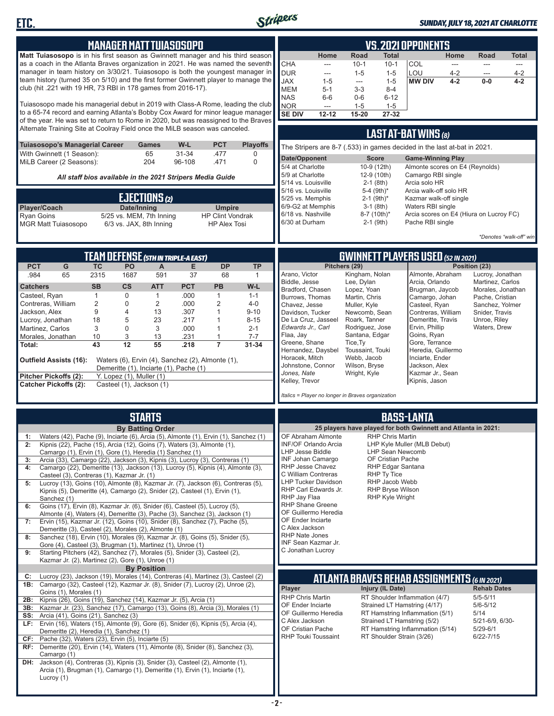

### *SUNDAY, JULY 18, 2021 AT CHARLOTTE*

**VS. 2021 OPPONENTS**

| <b>Matt Tuiasosopo</b> is in his first season as Gwinnett manager and his third season <b> </b>                                                                                      |                |                               |                                          |                  |                                                           |                 |                                                                          | Home           | Road                                | Total                                  |                                                                | Home               | Road                               | Total              |
|--------------------------------------------------------------------------------------------------------------------------------------------------------------------------------------|----------------|-------------------------------|------------------------------------------|------------------|-----------------------------------------------------------|-----------------|--------------------------------------------------------------------------|----------------|-------------------------------------|----------------------------------------|----------------------------------------------------------------|--------------------|------------------------------------|--------------------|
| as a coach in the Atlanta Braves organization in 2021. He was named the seventh<br>manager in team history on 3/30/21. Tuiasosopo is both the youngest manager in                    |                |                               |                                          |                  |                                                           |                 | <b>CHA</b>                                                               | ---            | $10-1$                              | $10-1$                                 | COL                                                            | ---                | ---                                | ---                |
| team history (turned 35 on 5/10) and the first former Gwinnett player to manage the                                                                                                  |                |                               |                                          |                  |                                                           |                 | <b>DUR</b><br><b>JAX</b>                                                 | ---<br>$1 - 5$ | $1 - 5$<br>$\overline{\phantom{a}}$ | $1 - 5$<br>$1 - 5$                     | LOU<br><b>MW DIV</b>                                           | $4 - 2$<br>$4 - 2$ | $\overline{a}$<br>$0-0$            | $4 - 2$<br>$4 - 2$ |
| club (hit .221 with 19 HR, 73 RBI in 178 games from 2016-17).                                                                                                                        |                |                               |                                          |                  |                                                           |                 | <b>MEM</b>                                                               | $5 - 1$        | $3 - 3$                             | $8 - 4$                                |                                                                |                    |                                    |                    |
|                                                                                                                                                                                      |                |                               |                                          |                  |                                                           |                 | <b>NAS</b>                                                               | $6-6$          | $0-6$                               | $6 - 12$                               |                                                                |                    |                                    |                    |
| Tuiasosopo made his managerial debut in 2019 with Class-A Rome, leading the club                                                                                                     |                |                               |                                          |                  |                                                           |                 | <b>NOR</b>                                                               | ---            | $1 - 5$                             | $1 - 5$                                |                                                                |                    |                                    |                    |
| to a 65-74 record and earning Atlanta's Bobby Cox Award for minor league manager                                                                                                     |                |                               |                                          |                  |                                                           |                 | <b>SE DIV</b>                                                            | $12 - 12$      | 15-20                               | 27-32                                  |                                                                |                    |                                    |                    |
| of the year. He was set to return to Rome in 2020, but was reassigned to the Braves<br>Alternate Training Site at Coolray Field once the MiLB season was canceled.                   |                |                               |                                          |                  |                                                           |                 |                                                                          |                |                                     |                                        |                                                                |                    |                                    |                    |
|                                                                                                                                                                                      |                |                               |                                          |                  |                                                           |                 |                                                                          |                |                                     |                                        | <b>LAST AT-BAT WINS (8)</b>                                    |                    |                                    |                    |
| <b>Tuiasosopo's Managerial Career</b><br>With Gwinnett (1 Season):                                                                                                                   |                |                               | Games<br>65                              | W-L<br>$31 - 34$ | <b>PCT</b><br>.477                                        | <b>Playoffs</b> | The Stripers are 8-7 (.533) in games decided in the last at-bat in 2021. |                |                                     |                                        |                                                                |                    |                                    |                    |
| MiLB Career (2 Seasons):                                                                                                                                                             |                |                               | 204                                      | 96-108           | .471                                                      | 0<br>0          | Date/Opponent                                                            |                |                                     | <b>Score</b>                           | <b>Game-Winning Play</b>                                       |                    |                                    |                    |
|                                                                                                                                                                                      |                |                               |                                          |                  |                                                           |                 | 5/4 at Charlotte                                                         |                |                                     | 10-9 (12th)                            | Almonte scores on E4 (Reynolds)                                |                    |                                    |                    |
|                                                                                                                                                                                      |                |                               |                                          |                  | All staff bios available in the 2021 Stripers Media Guide |                 | 5/9 at Charlotte                                                         |                |                                     | 12-9 (10th)                            | Camargo RBI single                                             |                    |                                    |                    |
|                                                                                                                                                                                      |                |                               |                                          |                  |                                                           |                 | 5/14 vs. Louisville<br>5/16 vs. Louisville                               |                | 5-4 (9th)*                          | $2-1$ (8th)                            | Arcia solo HR<br>Arcia walk-off solo HR                        |                    |                                    |                    |
|                                                                                                                                                                                      |                |                               | EJECTIONS (2)                            |                  |                                                           |                 | 5/25 vs. Memphis                                                         |                |                                     | $2-1$ (9th) <sup>*</sup>               | Kazmar walk-off single                                         |                    |                                    |                    |
| Player/Coach                                                                                                                                                                         |                | Date/Inning                   |                                          |                  | <b>Umpire</b>                                             |                 | 6/9-G2 at Memphis                                                        |                |                                     | $3-1$ (8th)                            | Waters RBI single                                              |                    |                                    |                    |
| <b>Ryan Goins</b>                                                                                                                                                                    |                |                               | 5/25 vs. MEM, 7th Inning                 |                  | <b>HP Clint Vondrak</b>                                   |                 | 6/18 vs. Nashville                                                       |                | 8-7 (10th)*                         |                                        | Arcia scores on E4 (Hiura on Lucroy FC)                        |                    |                                    |                    |
| <b>MGR Matt Tuiasosopo</b>                                                                                                                                                           |                |                               | 6/3 vs. JAX, 8th Inning                  |                  | <b>HP Alex Tosi</b>                                       |                 | 6/30 at Durham                                                           |                |                                     | $2-1$ (9th)                            | Pache RBI single                                               |                    |                                    |                    |
|                                                                                                                                                                                      |                |                               |                                          |                  |                                                           |                 |                                                                          |                |                                     |                                        |                                                                |                    | *Denotes "walk-off" win            |                    |
|                                                                                                                                                                                      |                |                               |                                          |                  |                                                           |                 |                                                                          |                |                                     |                                        |                                                                |                    |                                    |                    |
| <b>PCT</b><br>G                                                                                                                                                                      | <b>TC</b>      | PO                            | TEAM DEFENSE (5TH IN TRIPLE-A EAST)<br>A | Е                | <b>DP</b>                                                 | <b>TP</b>       |                                                                          |                | Pitchers (29)                       |                                        | <b>GWINNETT PLAYERS USED (52 IN 2021)</b>                      |                    | Position (23)                      |                    |
| .984<br>65                                                                                                                                                                           | 2315           | 1687                          | 591                                      | 37               | 68                                                        | $\mathbf{1}$    | Arano, Victor                                                            |                | Kingham, Nolan                      |                                        | Almonte, Abraham                                               |                    | Lucroy, Jonathan                   |                    |
| <b>Catchers</b>                                                                                                                                                                      | <b>SB</b>      | <b>CS</b>                     | <b>ATT</b>                               | <b>PCT</b>       | PB                                                        | W-L             | Biddle, Jesse                                                            |                | Lee, Dylan                          |                                        | Arcia, Orlando                                                 |                    | Martinez, Carlos                   |                    |
| Casteel, Ryan                                                                                                                                                                        | $\mathbf{1}$   | 0                             | $\mathbf{1}$                             | .000             | $\mathbf{1}$                                              | $1 - 1$         | Bradford, Chasen                                                         |                | Lopez, Yoan                         |                                        | Brugman, Jaycob                                                |                    | Morales, Jonathan                  |                    |
| Contreras, William                                                                                                                                                                   | $\overline{2}$ | 0                             | $\overline{2}$                           | .000             | 2                                                         | 4-0             | Burrows, Thomas<br>Chavez, Jesse                                         |                | Martin, Chris<br>Muller, Kyle       |                                        | Camargo, Johan<br>Casteel, Ryan                                |                    | Pache, Cristian<br>Sanchez, Yolmer |                    |
| Jackson, Alex                                                                                                                                                                        | 9              | 4                             | 13                                       | .307             |                                                           | $9 - 10$        | Davidson, Tucker                                                         |                | Newcomb, Sean                       |                                        | Contreras, William                                             |                    | Snider, Travis                     |                    |
| Lucroy, Jonathan                                                                                                                                                                     | 18             | 5                             | 23                                       | .217             |                                                           | $8 - 15$        | De La Cruz, Jasseel                                                      |                | Roark, Tanner                       |                                        | Demeritte, Travis                                              |                    | Unroe, Riley                       |                    |
| Martinez, Carlos                                                                                                                                                                     | 3              | 0                             | 3                                        | .000             | 1                                                         | $2 - 1$         | Edwards Jr., Carl                                                        |                | Rodriguez, Jose                     |                                        | Ervin, Phillip                                                 |                    | Waters, Drew                       |                    |
| Morales, Jonathan                                                                                                                                                                    | 10             | 3                             | 13                                       | .231             | 1                                                         | $7 - 7$         | Flaa, Jay<br>Greene, Shane                                               |                | Santana, Edgar<br>Tice, Ty          |                                        | Goins, Ryan<br>Gore, Terrance                                  |                    |                                    |                    |
| Total:                                                                                                                                                                               | 43             | 12                            | 55                                       | .218             | $\overline{7}$                                            | $31 - 34$       | Hernandez, Daysbel                                                       |                | Toussaint, Touki                    |                                        | Heredia, Guillermo                                             |                    |                                    |                    |
| Outfield Assists (16):                                                                                                                                                               |                |                               |                                          |                  | Waters (6), Ervin (4), Sanchez (2), Almonte (1),          |                 | Horacek, Mitch                                                           |                | Webb, Jacob                         |                                        | Inciarte, Ender                                                |                    |                                    |                    |
|                                                                                                                                                                                      |                |                               | Demeritte (1), Inciarte (1), Pache (1)   |                  |                                                           |                 | Johnstone, Connor                                                        |                | Wilson, Bryse                       |                                        | Jackson, Alex                                                  |                    |                                    |                    |
| Pitcher Pickoffs (2):                                                                                                                                                                |                | Y. Lopez $(1)$ , Muller $(1)$ |                                          |                  |                                                           |                 | Jones, Nate<br>Kelley, Trevor                                            |                | Wright, Kyle                        |                                        | Kazmar Jr., Sean<br>Kipnis, Jason                              |                    |                                    |                    |
| <b>Catcher Pickoffs (2):</b>                                                                                                                                                         |                | Casteel (1), Jackson (1)      |                                          |                  |                                                           |                 |                                                                          |                |                                     |                                        |                                                                |                    |                                    |                    |
|                                                                                                                                                                                      |                |                               |                                          |                  |                                                           |                 | Italics = Player no longer in Braves organization                        |                |                                     |                                        |                                                                |                    |                                    |                    |
|                                                                                                                                                                                      |                |                               | <b>STARTS</b>                            |                  |                                                           |                 |                                                                          |                |                                     |                                        | <b>BASS-LANTA</b>                                              |                    |                                    |                    |
|                                                                                                                                                                                      |                |                               | <b>By Batting Order</b>                  |                  |                                                           |                 |                                                                          |                |                                     |                                        | 25 players have played for both Gwinnett and Atlanta in 2021:  |                    |                                    |                    |
| Waters (42), Pache (9), Inciarte (6), Arcia (5), Almonte (1), Ervin (1), Sanchez (1)<br>1:                                                                                           |                |                               |                                          |                  |                                                           |                 | OF Abraham Almonte                                                       |                |                                     | <b>RHP Chris Martin</b>                |                                                                |                    |                                    |                    |
| Kipnis (22), Pache (15), Arcia (12), Goins (7), Waters (3), Almonte (1),<br>2:                                                                                                       |                |                               |                                          |                  |                                                           |                 | INF/OF Orlando Arcia                                                     |                |                                     |                                        | LHP Kyle Muller (MLB Debut)                                    |                    |                                    |                    |
| Camargo (1), Ervin (1), Gore (1), Heredia (1) Sanchez (1)                                                                                                                            |                |                               |                                          |                  |                                                           |                 | LHP Jesse Biddle                                                         |                |                                     | LHP Sean Newcomb                       |                                                                |                    |                                    |                    |
| Arcia (33), Camargo (22), Jackson (3), Kipnis (3), Lucroy (3), Contreras (1)                                                                                                         |                |                               |                                          |                  |                                                           |                 | <b>INF Johan Camargo</b><br>RHP Jesse Chavez                             |                |                                     | OF Cristian Pache<br>RHP Edgar Santana |                                                                |                    |                                    |                    |
| Camargo (22), Demeritte (13), Jackson (13), Lucroy (5), Kipnis (4), Almonte (3),<br>4:<br>Casteel (3), Contreras (1), Kazmar Jr. (1)                                                 |                |                               |                                          |                  |                                                           |                 | C William Contreras                                                      |                |                                     | RHP Ty Tice                            |                                                                |                    |                                    |                    |
| Lucroy (13), Goins (10), Almonte (8), Kazmar Jr. (7), Jackson (6), Contreras (5),<br>5:                                                                                              |                |                               |                                          |                  |                                                           |                 | <b>LHP Tucker Davidson</b>                                               |                |                                     | RHP Jacob Webb                         |                                                                |                    |                                    |                    |
| Kipnis (5), Demeritte (4), Camargo (2), Snider (2), Casteel (1), Ervin (1),                                                                                                          |                |                               |                                          |                  |                                                           |                 | RHP Carl Edwards Jr.                                                     |                |                                     | <b>RHP Bryse Wilson</b>                |                                                                |                    |                                    |                    |
| Sanchez (1)                                                                                                                                                                          |                |                               |                                          |                  |                                                           |                 | RHP Jay Flaa<br><b>RHP Shane Greene</b>                                  |                |                                     | RHP Kyle Wright                        |                                                                |                    |                                    |                    |
| Goins (17), Ervin (8), Kazmar Jr. (6), Snider (6), Casteel (5), Lucroy (5),<br>6:<br>Almonte (4), Waters (4), Demeritte (3), Pache (3), Sanchez (3), Jackson (1)                     |                |                               |                                          |                  |                                                           |                 | OF Guillermo Heredia                                                     |                |                                     |                                        |                                                                |                    |                                    |                    |
| 7: Ervin (15), Kazmar Jr. (12), Goins (10), Snider (8), Sanchez (7), Pache (5),                                                                                                      |                |                               |                                          |                  |                                                           |                 | OF Ender Inciarte                                                        |                |                                     |                                        |                                                                |                    |                                    |                    |
| Demeritte (3), Casteel (2), Morales (2), Almonte (1)                                                                                                                                 |                |                               |                                          |                  |                                                           |                 | C Alex Jackson                                                           |                |                                     |                                        |                                                                |                    |                                    |                    |
| Sanchez (18), Ervin (10), Morales (9), Kazmar Jr. (8), Goins (5), Snider (5),<br>8:                                                                                                  |                |                               |                                          |                  |                                                           |                 | RHP Nate Jones<br>INF Sean Kazmar Jr.                                    |                |                                     |                                        |                                                                |                    |                                    |                    |
| Gore (4), Casteel (3), Brugman (1), Martinez (1), Unroe (1)<br>9:<br>Starting Pitchers (42), Sanchez (7), Morales (5), Snider (3), Casteel (2),                                      |                |                               |                                          |                  |                                                           |                 | C Jonathan Lucroy                                                        |                |                                     |                                        |                                                                |                    |                                    |                    |
| Kazmar Jr. (2), Martinez (2), Gore (1), Unroe (1)                                                                                                                                    |                |                               |                                          |                  |                                                           |                 |                                                                          |                |                                     |                                        |                                                                |                    |                                    |                    |
|                                                                                                                                                                                      |                |                               | <b>By Position</b>                       |                  |                                                           |                 |                                                                          |                |                                     |                                        |                                                                |                    |                                    |                    |
| Lucroy (23), Jackson (19), Morales (14), Contreras (4), Martinez (3), Casteel (2)<br>C:<br><b>1B:</b> Camargo (32), Casteel (12), Kazmar Jr. (8), Snider (7), Lucroy (2), Unroe (2), |                |                               |                                          |                  |                                                           |                 |                                                                          |                |                                     |                                        | <b>ATLANTA BRAVES REHAB ASSIGNMENTS (6 IN 2021)</b>            |                    |                                    |                    |
| Goins (1), Morales (1)                                                                                                                                                               |                |                               |                                          |                  |                                                           |                 | Player                                                                   |                |                                     | Injury (IL Date)                       |                                                                |                    | <b>Rehab Dates</b>                 |                    |
| Kipnis (26), Goins (19), Sanchez (14), Kazmar Jr. (5), Arcia (1)<br>2B:                                                                                                              |                |                               |                                          |                  |                                                           |                 | <b>RHP Chris Martin</b>                                                  |                |                                     |                                        | RT Shoulder Inflammation (4/7)                                 |                    | $5/5 - 5/11$                       |                    |
| <b>3B:</b> Kazmar Jr. (23), Sanchez (17), Camargo (13), Goins (8), Arcia (3), Morales (1)                                                                                            |                |                               |                                          |                  |                                                           |                 | OF Ender Inciarte                                                        |                |                                     |                                        | Strained LT Hamstring (4/17)                                   |                    | $5/6 - 5/12$                       |                    |
| <b>SS:</b> Arcia (41), Goins (21), Sanchez (3)                                                                                                                                       |                |                               |                                          |                  |                                                           |                 | OF Guillermo Heredia<br>C Alex Jackson                                   |                |                                     |                                        | RT Hamstring Inflammation (5/1)<br>Strained LT Hamstring (5/2) |                    | 5/14<br>5/21-6/9, 6/30-            |                    |
| LF: Ervin (16), Waters (15), Almonte (9), Gore (6), Snider (6), Kipnis (5), Arcia (4),                                                                                               |                |                               |                                          |                  |                                                           |                 | OF Cristian Pache                                                        |                |                                     |                                        | RT Hamstring Inflammation (5/14)                               |                    | $5/29 - 6/1$                       |                    |
| Demeritte (2), Heredia (1), Sanchez (1)<br><b>CF:</b> Pache (32), Waters (23), Ervin (5), Inciarte (5)                                                                               |                |                               |                                          |                  |                                                           |                 | <b>RHP Touki Toussaint</b>                                               |                |                                     |                                        | RT Shoulder Strain (3/26)                                      |                    | $6/22 - 7/15$                      |                    |
| RF: Demeritte (20), Ervin (14), Waters (11), Almonte (8), Snider (8), Sanchez (3),                                                                                                   |                |                               |                                          |                  |                                                           |                 |                                                                          |                |                                     |                                        |                                                                |                    |                                    |                    |
| Camargo (1)                                                                                                                                                                          |                |                               |                                          |                  |                                                           |                 |                                                                          |                |                                     |                                        |                                                                |                    |                                    |                    |
| DH: Jackson (4), Contreras (3), Kipnis (3), Snider (3), Casteel (2), Almonte (1),                                                                                                    |                |                               |                                          |                  |                                                           |                 |                                                                          |                |                                     |                                        |                                                                |                    |                                    |                    |
| Arcia (1), Brugman (1), Camargo (1), Demeritte (1), Ervin (1), Inciarte (1),                                                                                                         |                |                               |                                          |                  |                                                           |                 |                                                                          |                |                                     |                                        |                                                                |                    |                                    |                    |

H

Lucroy (1)

**MANAGER MATT TUIASOSOPO**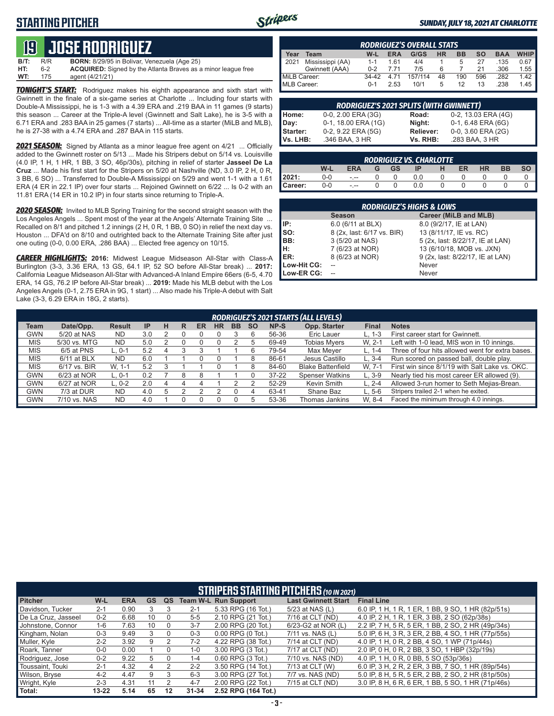## **STARTING PITCHER**



#### *SUNDAY, JULY 18, 2021 AT CHARLOTTE*

# **19****JOSE RODRIGUEZ**

| B/T: | R/R | <b>BORN:</b> 8/29/95 in Bolivar, Venezuela (Age 25)                  |
|------|-----|----------------------------------------------------------------------|
| HT:  | հ-2 | <b>ACQUIRED:</b> Signed by the Atlanta Braves as a minor league free |
| WT:  | 175 | agent (4/21/21)                                                      |

*TONIGHT'S START:* Rodriguez makes his eighth appearance and sixth start with Gwinnett in the finale of a six-game series at Charlotte ... Including four starts with Double-A Mississippi, he is 1-3 with a 4.39 ERA and .219 BAA in 11 games (9 starts) this season ... Career at the Triple-A level (Gwinnett and Salt Lake), he is 3-5 with a 6.71 ERA and .283 BAA in 25 games (7 starts) ... All-time as a starter (MiLB and MLB), he is 27-38 with a 4.74 ERA and .287 BAA in 115 starts.

*2021 SEASON:* Signed by Atlanta as a minor league free agent on 4/21 ... Officially added to the Gwinnett roster on 5/13 ... Made his Stripers debut on 5/14 vs. Louisville (4.0 IP, 1 H, 1 HR, 1 BB, 3 SO, 46p/30s), pitching in relief of starter **Jasseel De La Cruz** ... Made his first start for the Stripers on 5/20 at Nashville (ND, 3.0 IP, 2 H, 0 R, 3 BB, 6 SO) ... Transferred to Double-A Mississippi on 5/29 and went 1-1 with a 1.61 ERA (4 ER in 22.1 IP) over four starts ... Rejoined Gwinnett on 6/22 ... Is 0-2 with an 11.81 ERA (14 ER in 10.2 IP) in four starts since returning to Triple-A.

*2020 SEASON:* Invited to MLB Spring Training for the second straight season with the Los Angeles Angels ... Spent most of the year at the Angels' Alternate Training Site ... Recalled on 8/1 and pitched 1.2 innings (2 H, 0 R, 1 BB, 0 SO) in relief the next day vs. Houston ... DFA'd on 8/10 and outrighted back to the Alternate Training Site after just one outing (0-0, 0.00 ERA, .286 BAA) ... Elected free agency on 10/15.

*CAREER HIGHLIGHTS:* **2016:** Midwest League Midseason All-Star with Class-A Burlington (3-3, 3.36 ERA, 13 GS, 64.1 IP, 52 SO before All-Star break) ... **2017:** California League Midseason All-Star with Advanced-A Inland Empire 66ers (6-5, 4.70 ERA, 14 GS, 76.2 IP before All-Star break) ... **2019:** Made his MLB debut with the Los Angeles Angels (0-1, 2.75 ERA in 9G, 1 start) ... Also made his Triple-A debut with Salt Lake (3-3, 6.29 ERA in 18G, 2 starts).

| <b>RODRIGUEZ'S OVERALL STATS</b>                                                                         |                  |         |       |         |    |     |     |      |      |  |
|----------------------------------------------------------------------------------------------------------|------------------|---------|-------|---------|----|-----|-----|------|------|--|
| Year<br><b>WHIP</b><br>G/GS<br><b>HR</b><br>SΟ<br><b>BAA</b><br><b>ERA</b><br><b>BB</b><br>$W-L$<br>Team |                  |         |       |         |    |     |     |      |      |  |
| 12021                                                                                                    | Mississippi (AA) | $1 - 1$ | 161   | 4/4     |    |     | 27  | .135 | 0.67 |  |
|                                                                                                          | Gwinnett (AAA)   | $0 - 2$ | 7 71  | 7/5     | 6  |     | 21  | .306 | 1.55 |  |
| MiLB Career:                                                                                             |                  | $34-42$ | 4 7 1 | 157/114 | 48 | 190 | 596 | .282 | 1.42 |  |
| MLB Career:                                                                                              |                  | $0 - 1$ | 2.53  | 10/1    | 5  | 12  | 13  | .238 | 1.45 |  |

|            | <b>RODRIGUEZ'S 2021 SPLITS (WITH GWINNETT)</b> |           |                     |
|------------|------------------------------------------------|-----------|---------------------|
| Home:      | 0-0, 2.00 ERA (3G)                             | Road:     | 0-2, 13.03 ERA (4G) |
| Day:       | 0-1, 18.00 ERA (1G)                            | Night:    | 0-1, 6.48 ERA (6G)  |
| Starter:   | 0-2, 9.22 ERA (5G)                             | Reliever: | 0-0, 3.60 ERA (2G)  |
| l Vs. LHB: | .346 BAA, 3 HR                                 | Vs. RHB:  | .283 BAA, 3 HR      |

|         | <b>RODRIGUEZ VS. CHARLOTTE</b> |         |   |    |     |  |    |           |    |           |  |  |  |  |
|---------|--------------------------------|---------|---|----|-----|--|----|-----------|----|-----------|--|--|--|--|
|         | W-L                            | ERA     | G | GS |     |  | ER | <b>HR</b> | BB | <b>SO</b> |  |  |  |  |
| 2021:   | 0-0                            | $- - -$ |   |    | 0.0 |  |    |           |    |           |  |  |  |  |
| Career: | 0-0                            | $- - -$ |   |    | 0.0 |  |    |           |    |           |  |  |  |  |

|                 | <b>RODRIGUEZ'S HIGHS &amp; LOWS</b> |                                  |
|-----------------|-------------------------------------|----------------------------------|
|                 | <b>Season</b>                       | Career (MiLB and MLB)            |
| IIP:            | 6.0 (6/11 at BLX)                   | 8.0 (9/2/17, IE at LAN)          |
| $\mathsf{Iso}:$ | 8 (2x, last: 6/17 vs. BIR)          | 13 (8/11/17, IE vs. RC)          |
| BB:             | 3 (5/20 at NAS)                     | 5 (2x, last: 8/22/17, IE at LAN) |
| H:              | 7 (6/23 at NOR)                     | 13 (6/10/18, MOB vs. JXN)        |
| ER:             | 8 (6/23 at NOR)                     | 9 (2x, last: 8/22/17, IE at LAN) |
| Low-Hit CG:     |                                     | Never                            |
| Low-ER CG:      |                                     | Never                            |

|             | RODRIGUEZ'S 2021 STARTS (ALL LEVELS) |               |                 |   |   |    |    |           |           |           |                          |           |                                                  |  |
|-------------|--------------------------------------|---------------|-----------------|---|---|----|----|-----------|-----------|-----------|--------------------------|-----------|--------------------------------------------------|--|
| <b>Team</b> | Date/Opp.                            | <b>Result</b> | IP              | н | R | ER | HR | <b>BB</b> | <b>SO</b> | NP-S      | Opp. Starter             | Final     | <b>Notes</b>                                     |  |
| <b>GWN</b>  | 5/20 at NAS                          | <b>ND</b>     | 3.0             |   |   |    |    |           |           | 56-36     | Eric Lauer               | $L. 1-3$  | First career start for Gwinnett.                 |  |
| <b>MIS</b>  | 5/30 vs. MTG                         | <b>ND</b>     | 5. <sub>C</sub> |   |   |    |    |           |           | 69-49     | <b>Tobias Myers</b>      | W. 2-1    | Left with 1-0 lead, MIS won in 10 innings.       |  |
| <b>MIS</b>  | 6/5 at PNS                           | $L.0-1$       | 5.2             |   |   |    |    |           |           | 79-54     | Max Meyer                | L. 1-4    | Three of four hits allowed went for extra bases. |  |
| <b>MIS</b>  | $6/11$ at BLX                        | <b>ND</b>     | 6.0             |   |   |    |    |           |           | 86-61     | Jesus Castillo           | $L.3 - 4$ | Run scored on passed ball, double play.          |  |
| <b>MIS</b>  | 6/17 vs. BIR                         | W. 1-1        | 5.2             | 3 |   |    |    |           |           | 84-60     | <b>Blake Battenfield</b> | W. 7-1    | First win since 8/1/19 with Salt Lake vs. OKC.   |  |
| <b>GWN</b>  | 6/23 at NOR                          | $L.0-1$       | 0.2             |   |   |    |    |           |           | $37 - 22$ | <b>Spenser Watkins</b>   | $L.3-9$   | Nearly tied his most career ER allowed (9).      |  |
| <b>GWN</b>  | 6/27 at NOR                          | $L.0-2$       | 2.0             |   |   |    |    |           |           | 52-29     | Kevin Smith              | L. $2-4$  | Allowed 3-run homer to Seth Mejias-Brean.        |  |
| GWN         | 7/3 at DUR                           | <b>ND</b>     | 4.0             | 5 |   |    |    |           | 4         | 63-41     | Shane Baz                | $L.5-6$   | Stripers trailed 2-1 when he exited.             |  |
| GWN         | 7/10 vs. NAS                         | <b>ND</b>     | 4.0             |   |   |    |    |           |           | 53-36     | Thomas Jankins           | W. 8-4    | Faced the minimum through 4.0 innings.           |  |

|                       |           |            |           |    |           | <b>STRIPERS STARTING PITCHERS (10 IN 2021)</b> |                            |                                                     |
|-----------------------|-----------|------------|-----------|----|-----------|------------------------------------------------|----------------------------|-----------------------------------------------------|
| <b>Pitcher</b>        | $W-L$     | <b>ERA</b> | <b>GS</b> | QS |           | <b>Team W-L Run Support</b>                    | <b>Last Gwinnett Start</b> | <b>Final Line</b>                                   |
| Davidson, Tucker      | $2 - 1$   | 0.90       |           |    | $2 - 1$   | 5.33 RPG (16 Tot.)                             | 5/23 at NAS (L)            | 6.0 IP, 1 H, 1 R, 1 ER, 1 BB, 9 SO, 1 HR (82p/51s)  |
| l De La Cruz. Jasseel | $0 - 2$   | 6.68       | 10        |    | $5 - 5$   | 2.10 RPG (21 Tot.)                             | 7/16 at CLT (ND)           | 4.0 IP, 2 H, 1 R, 1 ER, 3 BB, 2 SO (62p/38s)        |
| Johnstone, Connor     | $1 - 6$   | 7.63       | 10        |    | $3 - 7$   | 2.00 RPG (20 Tot.)                             | 6/23-G2 at NOR (L)         | 2.2 IP, 7 H, 5 R, 5 ER, 1 BB, 2 SO, 2 HR (49p/34s)  |
| Kingham, Nolan        | $0 - 3$   | 9.49       | 3         |    | $0 - 3$   | $0.00$ RPG $(0$ Tot.)                          | 7/11 vs. NAS (L)           | 5.0 IP, 6 H, 3 R, 3 ER, 2 BB, 4 SO, 1 HR (77p/55s)  |
| Muller, Kyle          | $2 - 2$   | 3.92       | 9         |    | $7-2$     | 4.22 RPG (38 Tot.)                             | 7/14 at CLT (ND)           | 4.0 IP, 1 H, 0 R, 2 BB, 4 SO, 1 WP (71p/44s)        |
| Roark, Tanner         | $0 - 0$   | 0.00       |           |    | $1 - 0$   | 3.00 RPG (3 Tot.)                              | 7/17 at CLT (ND)           | 2.0 IP, 0 H, 0 R, 2 BB, 3 SO, 1 HBP (32p/19s)       |
| Rodriguez, Jose       | $0 - 2$   | 9.22       | 5         |    | $1 - 4$   | $0.60$ RPG $(3$ Tot.)                          | 7/10 vs. NAS (ND)          | 4.0 IP, 1 H, 0 R, 0 BB, 5 SO (53p/36s)              |
| Toussaint. Touki      | $2 - 1$   | 4.32       | 4         | 2  | $2 - 2$   | 3.50 RPG (14 Tot.)                             | 7/13 at CLT (W)            | 6.0 IP, 3 H, 2 R, 2 ER, 3 BB, 7 SO, 1 HR (89p/54s)  |
| Wilson, Bryse         | $4 - 2$   | 4.47       | 9         | 3  | $6 - 3$   | 3.00 RPG (27 Tot.)                             | 7/7 vs. NAS (ND)           | 5.0 IP, 8 H, 5 R, 5 ER, 2 BB, 2 SO, 2 HR (81p/50s)  |
| Wright, Kyle          | $2 - 3$   | 4.31       |           |    | $4 - 7$   | 2.00 RPG (22 Tot.)                             | 7/15 at CLT (ND)           | 3.0 IP, 8 H, 6 R, 6 ER, 1 BB, 5 SO, 1 HR (71 p/46s) |
| Total:                | $13 - 22$ | 5.14       | 65        | 12 | $31 - 34$ | 2.52 RPG (164 Tot.)                            |                            |                                                     |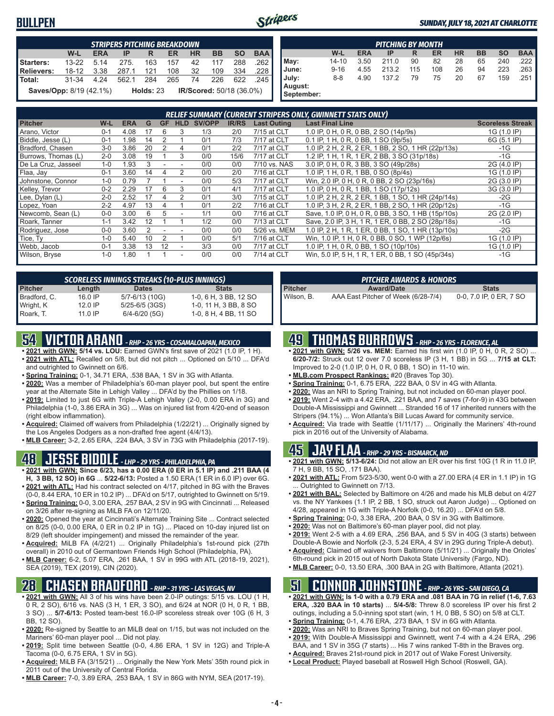### **BULLPEN**



**September:**

#### *SUNDAY, JULY 18, 2021 AT CHARLOTTE*

|                                | <b>STRIPERS PITCHING BREAKDOWN</b> |            |                                |           |       |  |                          |           |            |  |  |  |  |  |
|--------------------------------|------------------------------------|------------|--------------------------------|-----------|-------|--|--------------------------|-----------|------------|--|--|--|--|--|
|                                | W-L                                | <b>ERA</b> | $IP$ R                         |           | ER HR |  | <b>BB</b>                | <b>SO</b> | <b>BAA</b> |  |  |  |  |  |
| Starters:                      |                                    |            | 13-22 5.14 275. 163 157 42 117 |           |       |  |                          | 288       | .262       |  |  |  |  |  |
| Relievers:                     | 18-12 3.38                         |            | 287.1 121 108 32 109 334       |           |       |  |                          |           | .228       |  |  |  |  |  |
| ∎Total:                        | 31-34                              | 4.24       | 562.1 284                      |           |       |  | 265 74 226 622 245       |           |            |  |  |  |  |  |
| <b>Saves/Opp:</b> 8/19 (42.1%) |                                    |            |                                | Holds: 23 |       |  | IR/Scored: 50/18 (36.0%) |           |            |  |  |  |  |  |

|                       | <b>PITCHING BY MONTH</b>                                                         |      |       |     |     |    |    |     |      |  |  |  |  |  |  |
|-----------------------|----------------------------------------------------------------------------------|------|-------|-----|-----|----|----|-----|------|--|--|--|--|--|--|
|                       | W-L<br><b>HR</b><br>BB<br><b>SO</b><br><b>BAA</b><br>ER<br><b>ERA</b><br>IP<br>R |      |       |     |     |    |    |     |      |  |  |  |  |  |  |
| May:                  | $14 - 10$                                                                        | 3.50 | 211.0 | 90  | 82  | 28 | 65 | 240 | .222 |  |  |  |  |  |  |
| June:                 | $9 - 16$                                                                         | 4.55 | 213.2 | 115 | 108 | 26 | 94 | 223 | 263  |  |  |  |  |  |  |
| July:                 | $8 - 8$                                                                          | 4.90 | 137.2 | 79  | 75  | 20 | 67 | 159 | .251 |  |  |  |  |  |  |
| August:<br>Sentember: |                                                                                  |      |       |     |     |    |    |     |      |  |  |  |  |  |  |

|                     | <b>RELIEF SUMMARY (CURRENT STRIPERS ONLY, GWINNETT STATS ONLY)</b> |            |    |           |            |        |              |                    |                                                    |                         |  |  |  |
|---------------------|--------------------------------------------------------------------|------------|----|-----------|------------|--------|--------------|--------------------|----------------------------------------------------|-------------------------|--|--|--|
| <b>Pitcher</b>      | W-L                                                                | <b>ERA</b> | G  | <b>GF</b> | <b>HLD</b> | SV/OPP | <b>IR/RS</b> | <b>Last Outing</b> | <b>Last Final Line</b>                             | <b>Scoreless Streak</b> |  |  |  |
| Arano, Victor       | $0 - 1$                                                            | 4.08       | 17 | h         |            | 1/3    | 2/0          | 7/15 at CLT        | 1.0 IP, 0 H, 0 R, 0 BB, 2 SO (14p/9s)              | 1G (1.0 IP)             |  |  |  |
| Biddle, Jesse (L)   | $0 - 1$                                                            | l.98       | 14 |           |            | 0/1    | 7/3          | 7/17 at CLT        | $0.1$ IP, 1 H, 0 R, 0 BB, 1 SO (9p/5s)             | 6G (5.1 IP)             |  |  |  |
| Bradford, Chasen    | $3-0$                                                              | 3.86       | 20 |           |            | 0/1    | 2/2          | 7/17 at CLT        | 1.0 IP, 2 H, 2 R, 2 ER, 1 BB, 2 SO, 1 HR (22p/13s) | $-1G$                   |  |  |  |
| Burrows, Thomas (L) | $2 - 0$                                                            | 3.08       | 19 |           |            | 0/0    | 15/6         | 7/17 at CLT        | 1.2 IP, 1 H, 1 R, 1 ER, 2 BB, 3 SO (31p/18s)       | $-1G$                   |  |  |  |
| De La Cruz, Jasseel | $1 - 0$                                                            | 1.93       |    |           |            | 0/0    | 0/0          | 7/10 vs. NAS       | 3.0 IP, 0 H, 0 R, 3 BB, 3 SO (49p/28s)             | 2G (4.0 IP)             |  |  |  |
| Flaa. Jav           | $0 - 1$                                                            | 3.60       | 14 | 4         |            | 0/0    | 2/0          | 7/16 at CLT        | 1.0 IP, 1 H, 0 R, 1 BB, 0 SO (8p/4s)               | 1G (1.0 IP)             |  |  |  |
| Johnstone, Connor   | $1 - 0$                                                            | 0.79       |    |           |            | 0/0    | 5/3          | 7/17 at CLT        | Win, 2.0 IP, 0 H, 0 R, 0 BB, 2 SO (23p/16s)        | 2G (3.0 IP)             |  |  |  |
| Kelley, Trevor      | $0 - 2$                                                            | 2.29       | 17 | 6         | 3          | 0/1    | 4/1          | 7/17 at CLT        | 1.0 IP, 0 H, 0 R, 1 BB, 1 SO (17p/12s)             | 3G (3.0 IP)             |  |  |  |
| Lee, Dylan (L)      | $2 - 0$                                                            | 2.52       | 17 |           |            | 0/1    | 3/0          | 7/15 at CLT        | 1.0 IP, 2 H, 2 R, 2 ER, 1 BB, 1 SO, 1 HR (24p/14s) | $-2G$                   |  |  |  |
| Lopez, Yoan         | $2 - 2$                                                            | 4.97       | 13 |           |            | 0/1    | 2/2          | 7/16 at CLT        | 1.0 IP, 3 H, 2 R, 2 ER, 1 BB, 2 SO, 1 HR (20p/12s) | $-1G$                   |  |  |  |
| Newcomb, Sean (L)   | $0 - 0$                                                            | 3.00       | 6  | 5         |            | 1/1    | 0/0          | 7/16 at CLT        | Save, 1.0 IP, 0 H, 0 R, 0 BB, 3 SO, 1 HB (15p/10s) | 2G (2.0 IP)             |  |  |  |
| Roark, Tanner       | $1 - 1$                                                            | 3.42       | 12 |           |            | 1/2    | 0/0          | 7/13 at CLT        | Save, 2.0 IP, 3 H, 1 R, 1 ER, 0 BB, 2 SO (28p/18s) | $-1G$                   |  |  |  |
| Rodriguez, Jose     | $0 - 0$                                                            | 3.60       |    |           |            | 0/0    | 0/0          | 5/26 vs. MEM       | 1.0 IP, 2 H, 1 R, 1 ER, 0 BB, 1 SO, 1 HR (13p/10s) | $-2G$                   |  |  |  |
| Tice, Ty            | $1 - 0$                                                            | 5.40       | 10 |           |            | 0/0    | 5/1          | 7/16 at CLT        | Win, 1.0 IP, 1 H, 0 R, 0 BB, 0 SO, 1 WP (12p/6s)   | 1G (1.0 IP)             |  |  |  |
| Webb, Jacob         | $0 - 1$                                                            | 3.38       | 13 | 12        |            | 3/3    | 0/0          | 7/17 at CLT        | 1.0 IP, 1 H, 0 R, 0 BB, 1 SO (10p/10s)             | 1G (1.0 IP)             |  |  |  |
| Wilson, Bryse       | $1 - 0$                                                            | .80        |    |           |            | 0/0    | 0/0          | 7/14 at CLT        | Win, 5.0 IP, 5 H, 1 R, 1 ER, 0 BB, 1 SO (45p/34s)  | $-1G$                   |  |  |  |

| <b>SCORELESS INNINGS STREAKS (10-PLUS INNINGS)</b> |           |                   |                       |  |  |  |  |  |  |  |  |
|----------------------------------------------------|-----------|-------------------|-----------------------|--|--|--|--|--|--|--|--|
| <b>Pitcher</b>                                     | Length    | <b>Dates</b>      | <b>Stats</b>          |  |  |  |  |  |  |  |  |
| Bradford, C.                                       | $16.0$ IP | 5/7-6/13 (10G)    | 1-0, 6 H, 3 BB, 12 SO |  |  |  |  |  |  |  |  |
| Wright, K                                          | 12.0 IP   | 5/25-6/5 (3GS)    | 1-0, 11 H, 3 BB, 8 SO |  |  |  |  |  |  |  |  |
| Roark, T.                                          | $11.0$ IP | $6/4 - 6/20$ (5G) | 1-0, 8 H, 4 BB, 11 SO |  |  |  |  |  |  |  |  |

# **54 VICTOR ARANO** *- RHP - 26 YRS - COSAMALOAPAN, MEXICO*

- **• 2021 with GWN: 5/14 vs. LOU:** Earned GWN's first save of 2021 (1.0 IP, 1 H). **• 2021 with ATL:** Recalled on 5/8, but did not pitch ... Optioned on 5/10 ... DFA'd and outrighted to Gwinnett on 6/6.
- **• Spring Training:** 0-1, 34.71 ERA, .538 BAA, 1 SV in 3G with Atlanta.
- **• 2020:** Was a member of Philadelphia's 60-man player pool, but spent the entire year at the Alternate Site in Lehigh Valley ... DFA'd by the Phillies on 1/18.
- **• 2019:** Limited to just 6G with Triple-A Lehigh Valley (2-0, 0.00 ERA in 3G) and Philadelphia (1-0, 3.86 ERA in 3G) ... Was on injured list from 4/20-end of season (right elbow inflammation).
- **• Acquired:** Claimed off waivers from Philadelphia (1/22/21) ... Originally signed by the Los Angeles Dodgers as a non-drafted free agent (4/4/13).
- **• MLB Career:** 3-2, 2.65 ERA, .224 BAA, 3 SV in 73G with Philadelphia (2017-19).

# **48 JESSE BIDDLE** *- LHP - 29 YRS - PHILADELPHIA, PA*

- **• 2021 with GWN: Since 6/23, has a 0.00 ERA (0 ER in 5.1 IP) and .211 BAA (4 H, 3 BB, 12 SO) in 6G** ... **5/22-6/13:** Posted a 1.50 ERA (1 ER in 6.0 IP) over 6G.
- **• 2021 with ATL:** Had his contract selected on 4/17, pitched in 8G with the Braves (0-0, 8.44 ERA, 10 ER in 10.2 IP) ... DFA'd on 5/17, outrighted to Gwinnett on 5/19.
- **• Spring Training:** 0-0, 3.00 ERA, .257 BAA, 2 SV in 9G with Cincinnati ... Released on 3/26 after re-signing as MiLB FA on 12/11/20.
- **• 2020:** Opened the year at Cincinnati's Alternate Training Site ... Contract selected on 8/25 (0-0, 0.00 ERA, 0 ER in 0.2 IP in 1G) ... Placed on 10-day injured list on 8/29 (left shoulder impingement) and missed the remainder of the year.
- **• Acquired:** MiLB FA (4/2/21) ... Originally Philadelphia's 1st-round pick (27th overall) in 2010 out of Germantown Friends High School (Philadelphia, PA).
- **• MLB Career:** 6-2, 5.07 ERA, .261 BAA, 1 SV in 99G with ATL (2018-19, 2021), SEA (2019), TEX (2019), CIN (2020).

## **28 CHASEN BRADFORD** *- RHP - 31 YRS - LAS VEGAS, NV*

- **• 2021 with GWN:** All 3 of his wins have been 2.0-IP outings: 5/15 vs. LOU (1 H, 0 R, 2 SO), 6/16 vs. NAS (3 H, 1 ER, 3 SO), and 6/24 at NOR (0 H, 0 R, 1 BB, 3 SO) ... **5/7-6/13:** Posted team-best 16.0-IP scoreless streak over 10G (6 H, 3 BB, 12 SO).
- **• 2020:** Re-signed by Seattle to an MiLB deal on 1/15, but was not included on the Mariners' 60-man player pool ... Did not play.
- **• 2019:** Split time between Seattle (0-0, 4.86 ERA, 1 SV in 12G) and Triple-A Tacoma (0-0, 6.75 ERA, 1 SV in 5G).
- **• Acquired:** MiLB FA (3/15/21) ... Originally the New York Mets' 35th round pick in 2011 out of the University of Central Florida.
- **• MLB Career:** 7-0, 3.89 ERA, .253 BAA, 1 SV in 86G with NYM, SEA (2017-19).

|                | <b>PITCHER AWARDS &amp; HONORS</b>  |                         |
|----------------|-------------------------------------|-------------------------|
| <b>Pitcher</b> | <b>Award/Date</b>                   | <b>Stats</b>            |
| Wilson. B.     | AAA East Pitcher of Week (6/28-7/4) | 0-0, 7.0 IP, 0 ER, 7 SO |

# **49 THOMAS BURROWS** *- RHP - 26 YRS - FLORENCE, AL*

- **• 2021 with GWN: 5/26 vs. MEM:** Earned his first win (1.0 IP, 0 H, 0 R, 2 SO) ... **6/20-7/2:** Struck out 12 over 7.0 scoreless IP (3 H, 1 BB) in 5G ... **7/15 at CLT:** Improved to 2-0 (1.0 IP, 0 H, 0 R, 0 BB, 1 SO) in 11-10 win.
- **• MLB.com Prospect Rankings:** #20 (Braves Top 30).
- **• Spring Training:** 0-1, 6.75 ERA, .222 BAA, 0 SV in 4G with Atlanta.
- **• 2020:** Was an NRI to Spring Training, but not included on 60-man player pool.
- **• 2019:** Went 2-4 with a 4.42 ERA, .221 BAA, and 7 saves (7-for-9) in 43G between Double-A Mississippi and Gwinnett ... Stranded 16 of 17 inherited runners with the Stripers (94.1%) ... Won Atlanta's Bill Lucas Award for community service.
- **• Acquired:** Via trade with Seattle (1/11/17) ... Originally the Mariners' 4th-round pick in 2016 out of the University of Alabama.

### **45 JAY FLAA** *- RHP - 29 YRS - BISMARCK, ND*

- **• 2021 with GWN: 5/13-6/24:** Did not allow an ER over his first 10G (1 R in 11.0 IP, 7 H, 9 BB, 15 SO, .171 BAA).
- **• 2021 with ATL:** From 5/23-5/30, went 0-0 with a 27.00 ERA (4 ER in 1.1 IP) in 1G Outrighted to Gwinnett on 7/13.
- **• 2021 with BAL:** Selected by Baltimore on 4/26 and made his MLB debut on 4/27 vs. the NY Yankees (1.1 IP, 2 BB, 1 SO, struck out Aaron Judge) ... Optioned on 4/28, appeared in 1G with Triple-A Norfolk (0-0, 16.20) ... DFA'd on 5/8.
- **• Spring Training:** 0-0, 3.38 ERA, .200 BAA, 0 SV in 3G with Baltimore.
- **• 2020:** Was not on Baltimore's 60-man player pool, did not play.
- **• 2019:** Went 2-5 with a 4.69 ERA, .256 BAA, and 5 SV in 40G (3 starts) between Double-A Bowie and Norfolk (2-3, 5.24 ERA, 4 SV in 29G during Triple-A debut).
- **• Acquired:** Claimed off waivers from Baltimore (5/11/21) ... Originally the Orioles' 6th-round pick in 2015 out of North Dakota State University (Fargo, ND).
- **• MLB Career:** 0-0, 13.50 ERA, .300 BAA in 2G with Baltimore, Atlanta (2021).

## **51 CONNOR JOHNSTONE** *- RHP - 26 YRS - SAN DIEGO, CA*

- **• 2021 with GWN: Is 1-0 with a 0.79 ERA and .081 BAA in 7G in relief (1-6, 7.63 ERA, .320 BAA in 10 starts)** ... **5/4-5/8:** Threw 8.0 scoreless IP over his first 2 outings, including a 5.0-inning spot start (win, 1 H, 0 BB, 5 SO) on 5/8 at CLT.
- **• Spring Training:** 0-1, 4.76 ERA, .273 BAA, 1 SV in 6G with Atlanta.
- **• 2020:** Was an NRI to Braves Spring Training, but not on 60-man player pool.
- **• 2019:** With Double-A Mississippi and Gwinnett, went 7-4 with a 4.24 ERA, .296 BAA, and 1 SV in 35G (7 starts) ... His 7 wins ranked T-8th in the Braves org.
- **• Acquired:** Braves 21st-round pick in 2017 out of Wake Forest University.
- **• Local Product:** Played baseball at Roswell High School (Roswell, GA).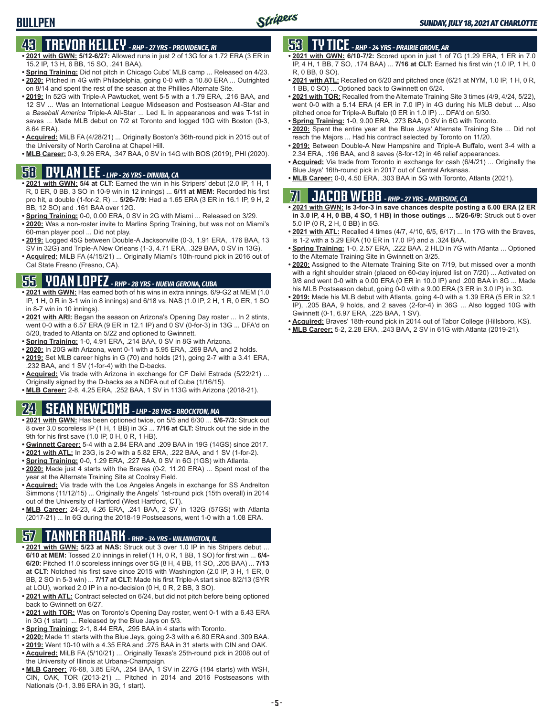# **43 TREVOR KELLEY** *- RHP - 27 YRS - PROVIDENCE, RI*

- **• 2021 with GWN: 5/12-6/27:** Allowed runs in just 2 of 13G for a 1.72 ERA (3 ER in 15.2 IP, 13 H, 6 BB, 15 SO, .241 BAA).
- **• Spring Training:** Did not pitch in Chicago Cubs' MLB camp ... Released on 4/23. **• 2020:** Pitched in 4G with Philadelphia, going 0-0 with a 10.80 ERA ... Outrighted
- on 8/14 and spent the rest of the season at the Phillies Alternate Site. **• 2019:** In 52G with Triple-A Pawtucket, went 5-5 with a 1.79 ERA, .216 BAA, and
- 12 SV ... Was an International League Midseason and Postseason All-Star and a *Baseball America* Triple-A All-Star ... Led IL in appearances and was T-1st in saves ... Made MLB debut on 7/2 at Toronto and logged 10G with Boston (0-3, 8.64 ERA).
- **• Acquired:** MiLB FA (4/28/21) ... Originally Boston's 36th-round pick in 2015 out of the University of North Carolina at Chapel Hill.
- **• MLB Career:** 0-3, 9.26 ERA, .347 BAA, 0 SV in 14G with BOS (2019), PHI (2020).

# **58 DYLAN LEE** *- LHP - 26 YRS - DINUBA, CA*

- **• 2021 with GWN: 5/4 at CLT:** Earned the win in his Stripers' debut (2.0 IP, 1 H, 1 R, 0 ER, 0 BB, 3 SO in 10-9 win in 12 innings) ... **6/11 at MEM:** Recorded his first pro hit, a double (1-for-2, R) ... **5/26-7/9:** Had a 1.65 ERA (3 ER in 16.1 IP, 9 H, 2 BB, 12 SO) and .161 BAA over 12G.
- **• Spring Training:** 0-0, 0.00 ERA, 0 SV in 2G with Miami ... Released on 3/29.
- **• 2020:** Was a non-roster invite to Marlins Spring Training, but was not on Miami's 60-man player pool ... Did not play.
- **• 2019:** Logged 45G between Double-A Jacksonville (0-3, 1.91 ERA, .176 BAA, 13 SV in 32G) and Triple-A New Orleans (1-3, 4.71 ERA, .329 BAA, 0 SV in 13G).
- **• Acquired:** MiLB FA (4/15/21) ... Originally Miami's 10th-round pick in 2016 out of Cal State Fresno (Fresno, CA).

## **55 YOAN LOPEZ** *- RHP - 28 YRS - NUEVA GERONA, CUBA*

- **• 2021 with GWN:** Has earned both of his wins in extra innings, 6/9-G2 at MEM (1.0 IP, 1 H, 0 R in 3-1 win in 8 innings) and 6/18 vs. NAS (1.0 IP, 2 H, 1 R, 0 ER, 1 SO in 8-7 win in 10 innings).
- **• 2021 with ARI:** Began the season on Arizona's Opening Day roster ... In 2 stints, went 0-0 with a 6.57 ERA (9 ER in 12.1 IP) and 0 SV (0-for-3) in 13G ... DFA'd on 5/20, traded to Atlanta on 5/22 and optioned to Gwinnett.
- **• Spring Training:** 1-0, 4.91 ERA, .214 BAA, 0 SV in 8G with Arizona.
- **• 2020:** In 20G with Arizona, went 0-1 with a 5.95 ERA, .269 BAA, and 2 holds. **• 2019:** Set MLB career highs in G (70) and holds (21), going 2-7 with a 3.41 ERA, .232 BAA, and 1 SV (1-for-4) with the D-backs.
- **• Acquired:** Via trade with Arizona in exchange for CF Deivi Estrada (5/22/21) ... Originally signed by the D-backs as a NDFA out of Cuba (1/16/15).
- **• MLB Career:** 2-8, 4.25 ERA, .252 BAA, 1 SV in 113G with Arizona (2018-21).

# **24 SEAN NEWCOMB** *- LHP - 28 YRS - BROCKTON, MA*

- **• 2021 with GWN:** Has been optioned twice, on 5/5 and 6/30 ... **5/6-7/3:** Struck out 8 over 3.0 scoreless IP (1 H, 1 BB) in 3G ... **7/16 at CLT:** Struck out the side in the 9th for his first save (1.0 IP, 0 H, 0 R, 1 HB).
- **• Gwinnett Career:** 5-4 with a 2.84 ERA and .209 BAA in 19G (14GS) since 2017.
- **• 2021 with ATL:** In 23G, is 2-0 with a 5.82 ERA, .222 BAA, and 1 SV (1-for-2).
- **• Spring Training:** 0-0, 1.29 ERA, .227 BAA, 0 SV in 6G (1GS) with Atlanta.
- **• 2020:** Made just 4 starts with the Braves (0-2, 11.20 ERA) ... Spent most of the year at the Alternate Training Site at Coolray Field.
- **• Acquired:** Via trade with the Los Angeles Angels in exchange for SS Andrelton Simmons (11/12/15) ... Originally the Angels' 1st-round pick (15th overall) in 2014 out of the University of Hartford (West Hartford, CT).
- **• MLB Career:** 24-23, 4.26 ERA, .241 BAA, 2 SV in 132G (57GS) with Atlanta (2017-21) ... In 6G during the 2018-19 Postseasons, went 1-0 with a 1.08 ERA.

# **57 TANNER ROARK** *- RHP - 34 YRS - WILMINGTON, IL*

- **• 2021 with GWN: 5/23 at NAS:** Struck out 3 over 1.0 IP in his Stripers debut ... **6/10 at MEM:** Tossed 2.0 innings in relief (1 H, 0 R, 1 BB, 1 SO) for first win ... **6/4- 6/20:** Pitched 11.0 scoreless innings over 5G (8 H, 4 BB, 11 SO, .205 BAA) ... **7/13 at CLT:** Notched his first save since 2015 with Washington (2.0 IP, 3 H, 1 ER, 0 BB, 2 SO in 5-3 win) ... **7/17 at CLT:** Made his first Triple-A start since 8/2/13 (SYR at LOU), worked 2.0 IP in a no-decision (0 H, 0 R, 2 BB, 3 SO).
- **• 2021 with ATL:** Contract selected on 6/24, but did not pitch before being optioned back to Gwinnett on 6/27.
- **• 2021 with TOR:** Was on Toronto's Opening Day roster, went 0-1 with a 6.43 ERA in 3G (1 start) ... Released by the Blue Jays on 5/3.
- **• Spring Training:** 2-1, 8.44 ERA, .295 BAA in 4 starts with Toronto.
- **• 2020:** Made 11 starts with the Blue Jays, going 2-3 with a 6.80 ERA and .309 BAA.
- **• 2019:** Went 10-10 with a 4.35 ERA and .275 BAA in 31 starts with CIN and OAK. **• Acquired:** MiLB FA (5/10/21) ... Originally Texas's 25th-round pick in 2008 out of the University of Illinois at Urbana-Champaign.
- **• MLB Career:** 76-68, 3.85 ERA, .254 BAA, 1 SV in 227G (184 starts) with WSH, CIN, OAK, TOR (2013-21) ... Pitched in 2014 and 2016 Postseasons with Nationals (0-1, 3.86 ERA in 3G, 1 start).

## **53 TY TICE** *- RHP - 24 YRS - PRAIRIE GROVE, AR*

- **• 2021 with GWN: 6/10-7/2:** Scored upon in just 1 of 7G (1.29 ERA, 1 ER in 7.0 IP, 4 H, 1 BB, 7 SO, .174 BAA) ... **7/16 at CLT:** Earned his first win (1.0 IP, 1 H, 0 R, 0 BB, 0 SO).
- **• 2021 with ATL:** Recalled on 6/20 and pitched once (6/21 at NYM, 1.0 IP, 1 H, 0 R, 1 BB, 0 SO) ... Optioned back to Gwinnett on 6/24.
- **• 2021 with TOR:** Recalled from the Alternate Training Site 3 times (4/9, 4/24, 5/22), went 0-0 with a 5.14 ERA (4 ER in 7.0 IP) in 4G during his MLB debut ... Also pitched once for Triple-A Buffalo (0 ER in 1.0 IP) ... DFA'd on 5/30.
- **• Spring Training:** 1-0, 9.00 ERA, .273 BAA, 0 SV in 6G with Toronto.
- **• 2020:** Spent the entire year at the Blue Jays' Alternate Training Site ... Did not reach the Majors ... Had his contract selected by Toronto on 11/20.
- **• 2019:** Between Double-A New Hampshire and Triple-A Buffalo, went 3-4 with a 2.34 ERA, .196 BAA, and 8 saves (8-for-12) in 46 relief appearances.
- **• Acquired:** Via trade from Toronto in exchange for cash (6/4/21) ... Originally the Blue Jays' 16th-round pick in 2017 out of Central Arkansas.
- **• MLB Career:** 0-0, 4.50 ERA, .303 BAA in 5G with Toronto, Atlanta (2021).

# **71 JACOB WEBB** *- RHP - 27 YRS - RIVERSIDE, CA*

**• 2021 with GWN: Is 3-for-3 in save chances despite posting a 6.00 ERA (2 ER in 3.0 IP, 4 H, 0 BB, 4 SO, 1 HB) in those outings** ... **5/26-6/9:** Struck out 5 over 5.0 IP (0 R, 2 H, 0 BB) in 5G.

- **• 2021 with ATL:** Recalled 4 times (4/7, 4/10, 6/5, 6/17) ... In 17G with the Braves, is 1-2 with a 5.29 ERA (10 ER in 17.0 IP) and a .324 BAA.
- **• Spring Training:** 1-0, 2.57 ERA, .222 BAA, 2 HLD in 7G with Atlanta ... Optioned to the Alternate Training Site in Gwinnett on 3/25.
- **• 2020:** Assigned to the Alternate Training Site on 7/19, but missed over a month with a right shoulder strain (placed on 60-day injured list on 7/20) ... Activated on 9/8 and went 0-0 with a 0.00 ERA (0 ER in 10.0 IP) and .200 BAA in 8G ... Made his MLB Postseason debut, going 0-0 with a 9.00 ERA (3 ER in 3.0 IP) in 3G.
- **• 2019:** Made his MLB debut with Atlanta, going 4-0 with a 1.39 ERA (5 ER in 32.1 IP), .205 BAA, 9 holds, and 2 saves (2-for-4) in 36G ... Also logged 10G with Gwinnett (0-1, 6.97 ERA, .225 BAA, 1 SV).
- **• Acquired:** Braves' 18th-round pick in 2014 out of Tabor College (Hillsboro, KS).
- **• MLB Career:** 5-2, 2.28 ERA, .243 BAA, 2 SV in 61G with Atlanta (2019-21).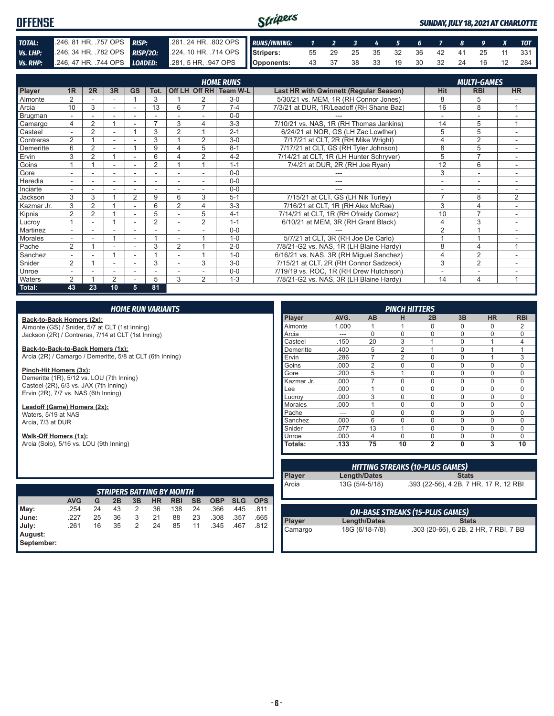#### Stripers **OFFENSE** *SUNDAY, JULY 18, 2021 AT CHARLOTTE TOTAL:* .246, 81 HR, .757 OPS *RISP:* .261, 24 HR, .802 OPS *RUNS/INNING: 1 2 3 4 5 6 7 8 9 X TOT Vs. LHP:* .246, 34 HR, .782 OPS *RISP/2O:* .224, 10 HR, .714 OPS **Stripers:** 55 29 25 35 32 36 42 41 25 11 331 **Vs. RHP:** .246, 47 HR, .744 OPS **LOADED:** .281, 5 HR, .947 OPS **Opponents:** 43 37 38 33 19 30 32 24 16 12 284

|               |                          |                |                |                |                |                          |                          | <b>HOME RUNS</b>       |                                               |                          | <b>MULTI-GAMES</b>       |                          |
|---------------|--------------------------|----------------|----------------|----------------|----------------|--------------------------|--------------------------|------------------------|-----------------------------------------------|--------------------------|--------------------------|--------------------------|
| Player        | 1 <sub>R</sub>           | 2R             | 3R             | <b>GS</b>      | Tot.           |                          |                          | Off LH Off RH Team W-L | <b>Last HR with Gwinnett (Regular Season)</b> | <b>Hit</b>               | <b>RBI</b>               | <b>HR</b>                |
| Almonte       | $\overline{2}$           |                |                |                | 3              |                          | 2                        | $3-0$                  | 5/30/21 vs. MEM, 1R (RH Connor Jones)         | 8                        | 5                        |                          |
| Arcia         | 10                       | 3              | ٠              |                | 13             | 6                        | $\overline{7}$           | $7 - 4$                | 7/3/21 at DUR, 1R/Leadoff (RH Shane Baz)      | 16                       | 8                        | 1                        |
| Brugman       | $\sim$                   | ÷              | ÷              | ٠              | ٠              |                          | $\sim$                   | $0 - 0$                |                                               | ٠                        | $\overline{\phantom{a}}$ | $\overline{\phantom{a}}$ |
| Camargo       | 4                        | $\overline{2}$ |                |                |                | 3                        | 4                        | $3 - 3$                | 7/10/21 vs. NAS, 1R (RH Thomas Jankins)       | 14                       | 5                        | $\overline{ }$           |
| Casteel       |                          | 2              |                |                | 3              | $\overline{2}$           |                          | $2 - 1$                | 6/24/21 at NOR, GS (LH Zac Lowther)           | 5                        | 5                        |                          |
| Contreras     | $\overline{2}$           |                | ÷.             |                | 3              |                          | 2                        | $3-0$                  | 7/17/21 at CLT, 2R (RH Mike Wright)           | 4                        | $\overline{2}$           |                          |
| Demeritte     | 6                        | $\overline{2}$ |                |                | 9              | Δ                        | 5                        | $8 - 1$                | 7/17/21 at CLT, GS (RH Tyler Johnson)         | 8                        | 5                        | $\overline{\phantom{a}}$ |
| Ervin         | 3                        | $\overline{2}$ |                | ۰              | 6              |                          | $\overline{2}$           | $4 - 2$                | 7/14/21 at CLT, 1R (LH Hunter Schryver)       | 5                        | $\overline{7}$           |                          |
| Goins         |                          |                |                |                | $\overline{2}$ |                          |                          | $1 - 1$                | 7/4/21 at DUR, 2R (RH Joe Ryan)               | $\overline{12}$          | 6                        |                          |
| Gore          |                          |                | $\sim$         | ٠              | ٠              |                          |                          | $0 - 0$                |                                               | 3                        | $\sim$                   |                          |
| Heredia       |                          |                | ۰              | ۰              | ٠              | $\overline{\phantom{a}}$ |                          | $0 - 0$                | ---                                           | ٠                        | $\overline{\phantom{a}}$ |                          |
| Inciarte      | $\overline{\phantom{a}}$ |                | ۰              | ۰              | ۰              | ۰                        | $\overline{\phantom{a}}$ | $0 - 0$                | ---                                           | $\overline{\phantom{a}}$ | $\overline{\phantom{a}}$ | ۰.                       |
| Jackson       | 3                        | 3              |                | $\overline{2}$ | 9              | 6                        | 3                        | $5 - 1$                | 7/15/21 at CLT, GS (LH Nik Turley)            | $\overline{7}$           | 8                        | $\overline{2}$           |
| Kazmar Jr.    | 3                        | $\overline{2}$ |                |                | 6              | $\overline{2}$           | 4                        | $3 - 3$                | 7/16/21 at CLT, 1R (RH Alex McRae)            | 3                        | 4                        |                          |
| Kipnis        | $\overline{2}$           | $\overline{2}$ |                | ٠              | 5              |                          | 5                        | $4 - 1$                | 7/14/21 at CLT, 1R (RH Ofreidy Gomez)         | 10                       | $\overline{7}$           |                          |
| Lucroy        |                          |                |                | ٠              | $\overline{2}$ |                          | $\overline{2}$           | $1 - 1$                | 6/10/21 at MEM, 3R (RH Grant Black)           | $\overline{4}$           | 3                        | $\overline{\phantom{a}}$ |
| Martinez      | $\sim$                   |                | ۰              | ۰              |                |                          |                          | $0 - 0$                |                                               | $\overline{2}$           |                          |                          |
| Morales       |                          |                |                |                |                |                          |                          | $1 - 0$                | 5/7/21 at CLT, 3R (RH Joe De Carlo)           |                          |                          |                          |
| Pache         | $\overline{2}$           |                | ٠              |                | 3              | $\overline{2}$           |                          | $2 - 0$                | 7/8/21-G2 vs. NAS, 1R (LH Blaine Hardy)       | 8                        | 4                        | $\overline{ }$           |
| Sanchez       |                          |                |                |                |                |                          |                          | $1 - 0$                | 6/16/21 vs. NAS, 3R (RH Miquel Sanchez)       | 4                        | $\overline{2}$           |                          |
| Snider        | $\overline{2}$           |                | ٠              | ٠              | 3              | ٠                        | 3                        | $3-0$                  | 7/15/21 at CLT, 2R (RH Connor Sadzeck)        | 3                        | 2                        |                          |
| Unroe         |                          |                |                |                |                |                          |                          | $0-0$                  | 7/19/19 vs. ROC, 1R (RH Drew Hutchison)       |                          | ٠                        |                          |
| <b>Waters</b> | 2                        |                | $\overline{2}$ |                | 5              | 3                        | $\mathfrak{D}$           | $1 - 3$                | 7/8/21-G2 vs. NAS, 3R (LH Blaine Hardy)       | 14                       | $\overline{4}$           |                          |
| Total:        | 43                       | 23             | 10             | 5              | 81             |                          |                          |                        |                                               |                          |                          |                          |

#### *HOME RUN VARIANTS*

**Back-to-Back Homers (2x):** Almonte (GS) / Snider, 5/7 at CLT (1st Inning) Jackson (2R) / Contreras, 7/14 at CLT (1st Inning)

**Back-to-Back-to-Back Homers (1x):**

Arcia (2R) / Camargo / Demeritte, 5/8 at CLT (6th Inning) **Pinch-Hit Homers (3x):**

Demeritte (1R), 5/12 vs. LOU (7th Inning) Casteel (2R), 6/3 vs. JAX (7th Inning) Ervin (2R), 7/7 vs. NAS (6th Inning)

**Leadoff (Game) Homers (2x):** Waters, 5/19 at NAS Arcia, 7/3 at DUR

**Walk-Off Homers (1x):**

Arcia (Solo), 5/16 vs. LOU (9th Inning)

|                       | <b>STRIPERS BATTING BY MONTH</b> |    |    |    |    |            |           |            |            |            |  |  |  |  |
|-----------------------|----------------------------------|----|----|----|----|------------|-----------|------------|------------|------------|--|--|--|--|
|                       | <b>AVG</b>                       | G  | 2Β | 3B | HR | <b>RBI</b> | <b>SB</b> | <b>OBP</b> | <b>SLG</b> | <b>OPS</b> |  |  |  |  |
| May:                  | .254                             | 24 | 43 | 2  | 36 | 138        | 24        | .366       | .445       | .811       |  |  |  |  |
| June:                 | .227                             | 25 | 36 | 3  | 21 | 88         | 23        | .308       | .357       | .665       |  |  |  |  |
| July:                 | .261                             | 16 | 35 | 2  | 24 | 85         | 11        | .345       | .467       | .812       |  |  |  |  |
| August:<br>September: |                                  |    |    |    |    |            |           |            |            |            |  |  |  |  |

| <b>PINCH HITTERS</b> |       |                |                |                |          |             |                |
|----------------------|-------|----------------|----------------|----------------|----------|-------------|----------------|
| <b>Player</b>        | AVG.  | AB             | н              | 2B             | 3B       | <b>HR</b>   | <b>RBI</b>     |
| Almonte              | 1.000 |                |                | 0              | 0        | $\Omega$    | 2              |
| Arcia                | ---   | $\Omega$       | $\Omega$       | $\mathbf 0$    | $\Omega$ | $\mathbf 0$ | $\mathbf 0$    |
| Casteel              | .150  | 20             | 3              | 1              | $\Omega$ | 1           | $\overline{4}$ |
| Demeritte            | .400  | 5              | $\overline{2}$ | 1              | $\Omega$ |             | 1              |
| Ervin                | .286  | 7              | $\overline{2}$ | $\mathbf 0$    | $\Omega$ |             | 3              |
| Goins                | .000  | $\mathfrak{p}$ | $\Omega$       | $\mathbf 0$    | 0        | $\Omega$    | $\Omega$       |
| Gore                 | .200  | 5              | 1              | $\mathbf 0$    | $\Omega$ | $\Omega$    | $\Omega$       |
| Kazmar Jr.           | .000  |                | $\Omega$       | $\mathbf 0$    | $\Omega$ | $\Omega$    | $\Omega$       |
| Lee                  | .000  |                | $\Omega$       | $\mathbf 0$    | $\Omega$ | $\Omega$    | $\mathbf 0$    |
| Lucrov               | .000  | 3              | $\Omega$       | $\mathbf 0$    | $\Omega$ | $\Omega$    | $\Omega$       |
| <b>Morales</b>       | .000  |                | $\Omega$       | $\Omega$       | $\Omega$ | $\Omega$    | $\Omega$       |
| Pache                | ---   | ი              | $\Omega$       | $\Omega$       | $\Omega$ | $\Omega$    | $\Omega$       |
| Sanchez              | .000  | 6              | $\Omega$       | $\mathbf 0$    | $\Omega$ | $\Omega$    | $\Omega$       |
| Snider               | .077  | 13             | 1              | $\Omega$       | $\Omega$ | $\Omega$    | $\Omega$       |
| Unroe                | .000  | 4              | $\Omega$       | $\Omega$       | $\Omega$ | $\Omega$    | $\Omega$       |
| Totals:              | .133  | 75             | 10             | $\overline{2}$ | 0        | 3           | 10             |

| Length/Dates   | <b>Stats</b>                           |
|----------------|----------------------------------------|
|                |                                        |
| 13G (5/4-5/18) | .393 (22-56), 4 2B, 7 HR, 17 R, 12 RBI |
|                |                                        |

| <b>ON-BASE STREAKS (15-PLUS GAMES)</b> |                |                                       |  |
|----------------------------------------|----------------|---------------------------------------|--|
| <b>Player</b>                          | Length/Dates   | <b>Stats</b>                          |  |
| Camargo                                | 18G (6/18-7/8) | .303 (20-66), 6 2B, 2 HR, 7 RBI, 7 BB |  |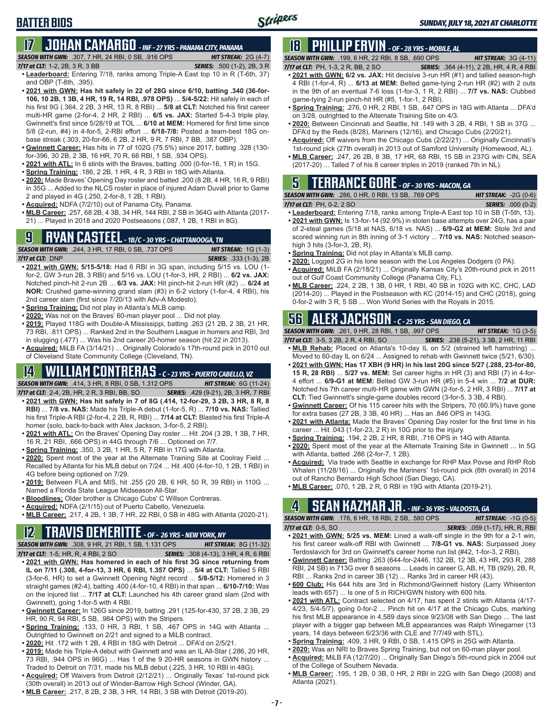### **17 JOHAN CAMARGO** *- INF - 27 YRS - PANAMA CITY, PANAMA SEASON WITH GWN:*.307, 7 HR, 24 RBI, 0 SB, .916 OPS *HIT STREAK:* 2G (4-7)

- *7/17 at CLT:* 1-2, 2B, 3 R, 3 BB *SERIES:* .500 (1-2), 2B, 3 R **• Leaderboard:** Entering 7/18, ranks among Triple-A East top 10 in R (T-6th, 37) and OBP (T-8th, .395).
- **• 2021 with GWN: Has hit safely in 22 of 28G since 6/10, batting .340 (36-for-106, 10 2B, 1 3B, 4 HR, 19 R, 14 RBI, .978 OPS)** ... **5/4-5/22:** Hit safely in each of his first 9G (.364, 2 2B, 3 HR, 13 R, 8 RBI) ... **5/8 at CLT:** Notched his first career multi-HR game (2-for-4, 2 HR, 2 RBI) ... **6/5 vs. JAX:** Started 5-4-3 triple play, Gwinnett's first since 5/28/19 at TOL ... **6/10 at MEM:** Homered for first time since 5/8 (2-run, #4) in 4-for-5, 2-RBI effort ... **6/18-7/8:** Posted a team-best 18G onbase streak (.303, 20-for-66, 6 2B, 2 HR, 9 R, 7 RBI, 7 BB, .387 OBP).
- **• Gwinnett Career:** Has hits in 77 of 102G (75.5%) since 2017, batting .328 (130 for-396, 30 2B, 2 3B, 16 HR, 70 R, 66 RBI, 1 SB, .934 OPS).
- **• 2021 with ATL:** In 6 stints with the Braves, batting .000 (0-for-16, 1 R) in 15G.
- **• Spring Training:** .186, 2 2B, 1 HR, 4 R, 3 RBI in 18G with Atlanta.
- **• 2020:** Made Braves' Opening Day roster and batted .200 (8 2B, 4 HR, 16 R, 9 RBI) in 35G ... Added to the NLCS roster in place of injured Adam Duvall prior to Game 2 and played in 4G (.250, 2-for-8, 1 2B, 1 RBI).
- **• Acquired:** NDFA (7/2/10) out of Panama City, Panama.
- **• MLB Career:** .257, 68 2B, 4 3B, 34 HR, 144 RBI, 2 SB in 364G with Atlanta (2017- 21) ... Played in 2018 and 2020 Postseasons (.087, 1 2B, 1 RBI in 8G).

### **9 RYAN CASTEEL** *- 1B/C - 30 YRS - CHATTANOOGA, TN*

*SEASON WITH GWN:*.244, 3 HR, 17 RBI, 0 SB, .737 OPS *HIT STREAK:* 1G (1-3) *7/17 at CLT:*DNP *SERIES:* .333 (1-3), 2B

- **• 2021 with GWN: 5/15-5/18:** Had 6 RBI in 3G span, including 5/15 vs. LOU (1 for-2, GW 3-run 2B, 3 RBI) and 5/16 vs. LOU (1-for-3, HR, 2 RBI) ... **6/2 vs. JAX:** Notched pinch-hit 2-run 2B ... **6/3 vs. JAX:** Hit pinch-hit 2-run HR (#2) ... **6/24 at NOR:** Crushed game-winning grand slam (#3) in 6-2 victory (1-for-4, 4 RBI), his 2nd career slam (first since 7/20/13 with Adv-A Modesto).
- **• Spring Training:** Did not play in Atlanta's MLB camp.
- **• 2020:** Was not on the Braves' 60-man player pool ... Did not play.
- **• 2019:** Played 118G with Double-A Mississippi, batting .263 (21 2B, 2 3B, 21 HR, 73 RBI, .811 OPS) ... Ranked 2nd in the Southern League in homers and RBI, 3rd in slugging (.477) ... Was his 2nd career 20-homer season (hit 22 in 2013)
- **• Acquired:** MiLB FA (3/14/21) ... Originally Colorado's 17th-round pick in 2010 out of Cleveland State Community College (Cleveland, TN).

# **14 WILLIAM CONTRERAS** *- C - 23 YRS - PUERTO CABELLO, VZ*

*SEASON WITH GWN:*.414, 3 HR, 8 RBI, 0 SB, 1.312 OPS *HIT STREAK:* 6G (11-24)

- *7/17 at CLT:*2-4, 2B, HR, 2 R, 3 RBI, BB, SO *SERIES:* .429 (9-21), 2B, 3 HR, 7 RBI **• 2021 with GWN: Has hit safely in 7 of 8G (.414, 12-for-29, 3 2B, 3 HR, 8 R, 8 RBI)** ... **7/8 vs. NAS:** Made his Triple-A debut (1-for-5, R) ... **7/10 vs. NAS:** Tallied his first Triple-A RBI (2-for-4, 2 2B, R, RBI) ... **7/14 at CLT:** Blasted his first Triple-A homer (solo, back-to-back with Alex Jackson, 3-for-5, 2 RBI).
- **• 2021 with ATL:** On the Braves' Opening Day roster ... Hit .204 (3 2B, 1 3B, 7 HR, 16 R, 21 RBI, .666 OPS) in 44G through 7/6 ... Optioned on 7/7.
- **• Spring Training:** .350, 3 2B, 1 HR, 5 R, 7 RBI in 17G with Atlanta.
- **• 2020:** Spent most of the year at the Alternate Training Site at Coolray Field ... Recalled by Atlanta for his MLB debut on 7/24 ... Hit .400 (4-for-10, 1 2B, 1 RBI) in 4G before being optioned on 7/29.
- **• 2019:** Between FLA and MIS, hit .255 (20 2B, 6 HR, 50 R, 39 RBI) in 110G ... Named a Florida State League Midseason All-Star.
- **• Bloodlines:** Older brother is Chicago Cubs' C Willson Contreras.
- **• Acquired:** NDFA (2/1/15) out of Puerto Cabello, Venezuela.
- **• MLB Career:** .217, 4 2B, 1 3B, 7 HR, 22 RBI, 0 SB in 48G with Atlanta (2020-21).

### **12 TRAVIS DEMERITTE** *- OF - 26 YRS - NEW YORK, NY*

*SEASON WITH GWN:*.308, 9 HR, 21 RBI, 1 SB, 1.131 OPS *HIT STREAK:* 8G (11-32) *7/17 at CLT:*1-5, HR, R, 4 RBI, 2 SO *SERIES:* .308 (4-13), 3 HR, 4 R, 6 RBI

- **• 2021 with GWN: Has homered in each of his first 3G since returning from IL on 7/11 (.308, 4-for-13, 3 HR, 6 RBI, 1.357 OPS)** ... **5/4 at CLT:** Tallied 5 RBI (3-for-6, HR) to set a Gwinnett Opening Night record ... **5/8-5/12:** Homered in 3 straight games (#2-4), batting .400 (4-for-10, 4 RBI) in that span ... **6/10-7/10:** Was on the injured list ... **7/17 at CLT:** Launched his 4th career grand slam (2nd with Gwinnett), going 1-for-5 with 4 RBI.
- **• Gwinnett Career:** In 126G since 2019, batting .291 (125-for-430, 37 2B, 2 3B, 29 HR, 90 R, 94 RBI, 5 SB, .984 OPS) with the Stripers.
- **• Spring Training:** .133, 0 HR, 3 RBI, 1 SB, .467 OPS in 14G with Atlanta ... Outrighted to Gwinnett on 2/21 and signed to a MiLB contract.
- **• 2020:** Hit .172 with 1 2B, 4 RBI in 18G with Detroit ... DFA'd on 2/5/21.
- **• 2019:** Made his Triple-A debut with Gwinnett and was an IL All-Star (.286, 20 HR, 73 RBI, .944 OPS in 96G) ... Has 1 of the 9 20-HR seasons in GWN history ... Traded to Detroit on 7/31, made his MLB debut (.225, 3 HR, 10 RBI in 48G).
- **• Acquired:** Off Waivers from Detroit (2/12/21) ... Originally Texas' 1st-round pick (30th overall) in 2013 out of Winder-Barrow High School (Winder, GA).
- **• MLB Career:** .217, 8 2B, 2 3B, 3 HR, 14 RBI, 3 SB with Detroit (2019-20).

# **18 PHILLIP ERVIN** *- OF - 28 YRS - MOBILE, AL*

*SEASON WITH GWN:*.199, 6 HR, 22 RBI, 8 SB, .690 OPS *HIT STREAK:* 3G (4-11)

- *7/17 at CLT:*PH, 1-3, 2 R, BB, 2 SO *SERIES:* .364 (4-11), 2 2B, HR, 4 R, 4 RBI **• 2021 with GWN: 6/2 vs. JAX:** Hit decisive 3-run HR (#1) and tallied season-high 4 RBI (1-for-4, R) ... **6/13 at MEM:** Belted game-tying 2-run HR (#2) with 2 outs in the 9th of an eventual 7-6 loss (1-for-3, 1 R, 2 RBI) ... **7/7 vs. NAS:** Clubbed game-tying 2-run pinch-hit HR (#5, 1-for-1, 2 RBI).
- **• Spring Training:** .276, 0 HR, 2 RBI, 1 SB, .647 OPS in 18G with Atlanta ... DFA'd on 3/28, outrighted to the Alternate Training Site on 4/3.
- **• 2020:** Between Cincinnati and Seattle, hit .149 with 3 2B, 4 RBI, 1 SB in 37G ... DFA'd by the Reds (8/28), Mariners (12/16), and Chicago Cubs (2/20/21).
- **• Acquired:** Off waivers from the Chicago Cubs (2/22/21) ... Originally Cincinnati's 1st-round pick (27th overall) in 2013 out of Samford University (Homewood, AL).
- **• MLB Career:** .247, 26 2B, 8 3B, 17 HR, 68 RBI, 15 SB in 237G with CIN, SEA (2017-20) ... Talled 7 of his 8 career triples in 2019 (ranked 7th in NL).

# **5 TERRANCE GORE** *- OF - 30 YRS - MACON, GA*

| <b>SEASON WITH GWN: .286, 0 HR, 0 RBI, 13 SB, .769 OPS</b> | <b>HIT STREAK: <math>-2G(0-6)</math></b> |
|------------------------------------------------------------|------------------------------------------|
| 7/17 at CLT: PH, 0-2, 2 SO                                 | <b>SERIES: .000 (0-2)</b>                |

- **• Leaderboard:** Entering 7/18, ranks among Triple-A East top 10 in SB (T-5th, 13). **• 2021 with GWN:** Is 13-for-14 (92.9%) in stolen base attempts over 24G, has a pair of 2-steal games (5/18 at NAS, 6/18 vs. NAS) ... **6/9-G2 at MEM:** Stole 3rd and scored winning run in 8th inning of 3-1 victory ... **7/10 vs. NAS:** Notched seasonhigh 3 hits (3-for-3, 2B, R).
- **• Spring Training:** Did not play in Atlanta's MLB camp.
- **• 2020:** Logged 2G in his lone season with the Los Angeles Dodgers (0 PA).
- **• Acquired:** MiLB FA (2/18/21) ... Originally Kansas City's 20th-round pick in 2011 out of Gulf Coast Community College (Panama City, FL).
- **• MLB Career:** .224, 2 2B, 1 3B, 0 HR, 1 RBI, 40 SB in 102G with KC, CHC, LAD (2014-20) ... Played in the Postseason with KC (2014-15) and CHC (2018), going 0-for-2 with 3 R, 5 SB ... Won World Series with the Royals in 2015.

# **56 ALEX JACKSON** *- C - 25 YRS - SAN DIEGO, CA*

*SEASON WITH GWN:*.261, 9 HR, 28 RBI, 1 SB, .997 OPS *HIT STREAK:* 1G (3-5) *7/17 at CLT:*3-5, 3 2B, 2 R, 4 RBI, SO *SERIES:* .238 (5-21), 3 3B, 2 HR, 11 RBI

- **• MLB Rehab:** Placed on Atlanta's 10-day IL on 5/2 (strained left hamstring) ... Moved to 60-day IL on 6/24 ... Assigned to rehab with Gwinnett twice (5/21, 6/30).
- **• 2021 with GWN: Has 17 XBH (9 HR) in his last 20G since 5/27 (.288, 23-for-80, 15 R, 28 RBI)** ... **5/27 vs. MEM:** Set career highs in HR (3) and RBI (7) in 4-for-4 effort ... **6/9-G1 at MEM:** Belted GW 3-run HR (#5) in 5-4 win ... **7/2 at DUR:** Notched his 7th career multi-HR game with GWN (2-for-5, 2 HR, 3 RBI) ... **7/17 at CLT:** Tied Gwinnett's single-game doubles record (3-for-5, 3 3B, 4 RBI).
- **• Gwinnett Career:** Of his 115 career hits with the Stripers, 70 (60.9%) have gone for extra bases (27 2B, 3 3B, 40 HR) ... Has an .846 OPS in 143G.
- **• 2021 with Atlanta:** Made the Braves' Opening Day roster for the first time in his career ... Hit .043 (1-for-23, 2 R) in 10G prior to the injury.
- **• Spring Training:** .194, 2 2B, 2 HR, 8 RBI, .716 OPS in 14G with Atlanta.
- **• 2020:** Spent most of the year at the Alternate Training Site in Gwinnett ... In 5G with Atlanta, batted .286 (2-for-7, 1 2B).
- **• Acquired:** Via trade with Seattle in exchange for RHP Max Povse and RHP Rob Whalen (11/28/16) ... Originally the Mariners' 1st-round pick (6th overall) in 2014 out of Rancho Bernardo High School (San Diego, CA).
- **• MLB Career:** .070, 1 2B, 2 R, 0 RBI in 19G with Atlanta (2019-21).

# **4 SEAN KAZMAR JR.** *- INF - 36 YRS - VALDOSTA, GA*

*SEASON WITH GWN:*.176, 6 HR, 18 RBI, 2 SB, .580 OPS *HIT STREAK:* -1G (0-5)

- *7/17 at CLT:*0-5, SO *SERIES:* .059 (1-17), HR, R, RBI **• 2021 with GWN: 5/25 vs. MEM:** Lined a walk-off single in the 9th for a 2-1 win, his first career walk-off RBI with Gwinnett ... **7/8-G1 vs. NAS:** Surpassed Joey Terdoslavich for 3rd on Gwinnett's career home run list (#42, 1-for-3, 2 RBI).
- **• Gwinnett Career:** Batting .263 (644-for-2446, 132 2B, 12 3B, 43 HR, 293 R, 288 RBI, 24 SB) in 713G over 8 seasons ... Leads in career G, AB, H, TB (929), 2B, R, RBI ... Ranks 2nd in career 3B (12) ... Ranks 3rd in career HR (43).
- **• 600 Club:** His 644 hits are 3rd in Richmond/Gwinnett history (Larry Whisenton leads with 657) ... Is one of 5 in RICH/GWN history with 600 hits.
- **• 2021 with ATL:** Contract selected on 4/17, has spent 2 stints with Atlanta (4/17- 4/23, 5/4-5/7), going 0-for-2 ... Pinch hit on 4/17 at the Chicago Cubs, marking his first MLB appearance in 4,589 days since 9/23/08 with San Diego ... The last player with a bigger gap between MLB appearances was Ralph Winegarner (13 years, 14 days between 6/23/36 with CLE and 7/7/49 with STL).
- **• Spring Training:** .409, 3 HR, 9 RBI, 0 SB, 1.415 OPS in 25G with Atlanta.
- **• 2020:** Was an NRI to Braves Spring Training, but not on 60-man player pool.
- **• Acquired:** MiLB FA (12/7/20) ... Originally San Diego's 5th-round pick in 2004 out of the College of Southern Nevada.
- **• MLB Career:** .195, 1 2B, 0 3B, 0 HR, 2 RBI in 22G with San Diego (2008) and Atlanta (2021).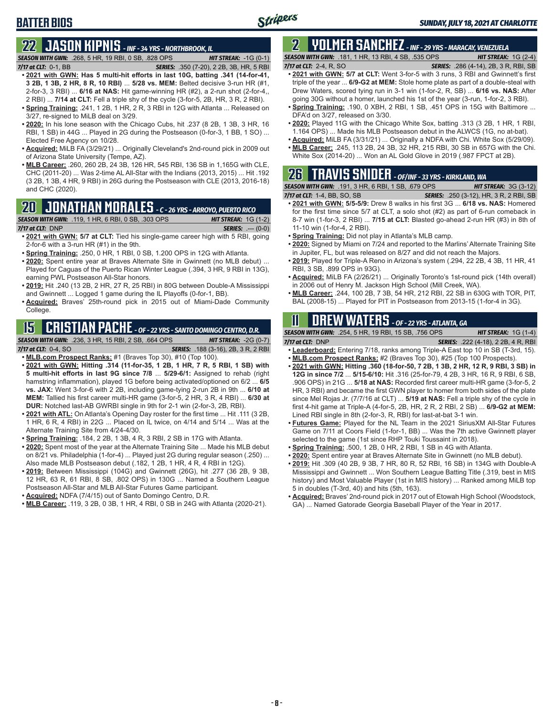## **BATTER BIOS**

# **22 JASON KIPNIS** *- INF - 34 YRS - NORTHBROOK, IL*

*SEASON WITH GWN:*.268, 5 HR, 19 RBI, 0 SB, .828 OPS *HIT STREAK:* -1G (0-1) *7/17 at CLT:*0-1, BB *SERIES:* .350 (7-20), 2 2B, 3B, HR, 5 RBI

- **• 2021 with GWN: Has 5 multi-hit efforts in last 10G, batting .341 (14-for-41, 3 2B, 1 3B, 2 HR, 8 R, 10 RBI)** ... **5/28 vs. MEM:** Belted decisive 3-run HR (#1, 2-for-3, 3 RBI) ... **6/16 at NAS:** Hit game-winning HR (#2), a 2-run shot (2-for-4,, 2 RBI) ... **7/14 at CLT:** Fell a triple shy of the cycle (3-for-5, 2B, HR, 3 R, 2 RBI).
- **• Spring Training:** .241, 1 2B, 1 HR, 2 R, 3 RBI in 12G with Atlanta ... Released on 3/27, re-signed to MiLB deal on 3/29.
- **• 2020:** In his lone season with the Chicago Cubs, hit .237 (8 2B, 1 3B, 3 HR, 16 RBI, 1 SB) in 44G ... Played in 2G during the Postseason (0-for-3, 1 BB, 1 SO) ... Elected Free Agency on 10/28.
- **• Acquired:** MiLB FA (3/29/21) ... Originally Cleveland's 2nd-round pick in 2009 out of Arizona State University (Tempe, AZ).
- **• MLB Career:** .260, 260 2B, 24 3B, 126 HR, 545 RBI, 136 SB in 1,165G with CLE, CHC (2011-20) ... Was 2-time AL All-Star with the Indians (2013, 2015) ... Hit .192 (3 2B, 1 3B, 4 HR, 9 RBI) in 26G during the Postseason with CLE (2013, 2016-18) and CHC (2020).

## **20 JONATHAN MORALES** *- C - 26 YRS - ARROYO, PUERTO RICO*

*SEASON WITH GWN:*.119, 1 HR, 6 RBI, 0 SB, .303 OPS *HIT STREAK:* 1G (1-2)

*7/17 at CLT:*DNP *SERIES:* .--- (0-0)

- **• 2021 with GWN: 5/7 at CLT:** Tied his single-game career high with 5 RBI, going 2-for-6 with a 3-run HR (#1) in the 9th.
- **• Spring Training:** .250, 0 HR, 1 RBI, 0 SB, 1.200 OPS in 12G with Atlanta.
- **• 2020:** Spent entire year at Braves Alternate Site in Gwinnett (no MLB debut) ... Played for Caguas of the Puerto Rican Winter League (.394, 3 HR, 9 RBI in 13G), earning PWL Postseason All-Star honors.
- **• 2019:** Hit .240 (13 2B, 2 HR, 27 R, 25 RBI) in 80G between Double-A Mississippi and Gwinnett ... Logged 1 game during the IL Playoffs (0-for-1, BB).
- **• Acquired:** Braves' 25th-round pick in 2015 out of Miami-Dade Community College.

## **15 CRISTIAN PACHE** *- OF - 22 YRS - SANTO DOMINGO CENTRO, D.R.*

*SEASON WITH GWN:*.236, 3 HR, 15 RBI, 2 SB, .664 OPS *HIT STREAK:* -2G (0-7)

- *7/17 at CLT:* 0-4, SO *SERIES:* .188 (3-16), 2B, 3 R, 2 RBI **• MLB.com Prospect Ranks:** #1 (Braves Top 30), #10 (Top 100).
- **• 2021 with GWN: Hitting .314 (11-for-35, 1 2B, 1 HR, 7 R, 5 RBI, 1 SB) with 5 multi-hit efforts in last 9G since 7/8** ... **5/29-6/1:** Assigned to rehab (right hamstring inflammation), played 1G before being activated/optioned on 6/2 ... **6/5 vs. JAX:** Went 3-for-6 with 2 2B, including game-tying 2-run 2B in 9th ... **6/10 at MEM:** Tallied his first career multi-HR game (3-for-5, 2 HR, 3 R, 4 RBI) ... **6/30 at DUR:** Notched last-AB GWRBI single in 9th for 2-1 win (2-for-3, 2B, RBI).
- **• 2021 with ATL:** On Atlanta's Opening Day roster for the first time ... Hit .111 (3 2B, 1 HR, 6 R, 4 RBI) in 22G ... Placed on IL twice, on 4/14 and 5/14 ... Was at the Alternate Training Site from 4/24-4/30.
- **• Spring Training:** .184, 2 2B, 1 3B, 4 R, 3 RBI, 2 SB in 17G with Atlanta.
- **• 2020:** Spent most of the year at the Alternate Training Site ... Made his MLB debut on 8/21 vs. Philadelphia (1-for-4) ... Played just 2G during regular season (.250) ... Also made MLB Postseason debut (.182, 1 2B, 1 HR, 4 R, 4 RBI in 12G).
- **• 2019:** Between Mississippi (104G) and Gwinnett (26G), hit .277 (36 2B, 9 3B, 12 HR, 63 R, 61 RBI, 8 SB, .802 OPS) in 130G ... Named a Southern League Postseason All-Star and MLB All-Star Futures Game participant.
- **• Acquired:** NDFA (7/4/15) out of Santo Domingo Centro, D.R.
- **• MLB Career:** .119, 3 2B, 0 3B, 1 HR, 4 RBI, 0 SB in 24G with Atlanta (2020-21).

### **2 YOLMER SANCHEZ** *- INF - 29 YRS - MARACAY, VENEZUELA SEASON WITH GWN:*.181, 1 HR, 13 RBI, 4 SB, .535 OPS *HIT STREAK:* 1G (2-4)

- *7/17 at CLT:*2-4, R, SO *SERIES:* .286 (4-14), 2B, 3 R, RBI, SB **• 2021 with GWN: 5/7 at CLT:** Went 3-for-5 with 3 runs, 3 RBI and Gwinnett's first triple of the year ... **6/9-G2 at MEM:** Stole home plate as part of a double-steal with Drew Waters, scored tying run in 3-1 win (1-for-2, R, SB) ... **6/16 vs. NAS:** After going 30G without a homer, launched his 1st of the year (3-run, 1-for-2, 3 RBI).
- **• Spring Training:** .190, 0 XBH, 2 RBI, 1 SB, .451 OPS in 15G with Baltimore ... DFA'd on 3/27, released on 3/30.
- **• 2020:** Played 11G with the Chicago White Sox, batting .313 (3 2B, 1 HR, 1 RBI, 1.164 OPS) ... Made his MLB Postseason debut in the ALWCS (1G, no at-bat).
- **• Acquired:** MiLB FA (3/31/21) ... Originally a NDFA with Chi. White Sox (5/29/09).
- **• MLB Career:** .245, 113 2B, 24 3B, 32 HR, 215 RBI, 30 SB in 657G with the Chi. White Sox (2014-20) ... Won an AL Gold Glove in 2019 (.987 FPCT at 2B).

## **26 TRAVIS SNIDER** *- OF/INF - 33 YRS - KIRKLAND, WA SEASON WITH GWN:*.191, 3 HR, 6 RBI, 1 SB, .679 OPS *HIT STREAK:* 3G (3-12)

- *7/17 at CLT:* 1-4, BB, SO, SB *SERIES:* .250 (3-12), HR, 3 R, 2 RBI, SB **• 2021 with GWN: 5/5-5/9:** Drew 8 walks in his first 3G ... **6/18 vs. NAS:** Homered for the first time since 5/7 at CLT, a solo shot (#2) as part of 6-run comeback in 8-7 win (1-for-3, 2 RBI) ... **7/15 at CLT:** Blasted go-ahead 2-run HR (#3) in 8th of 11-10 win (1-for-4, 2 RBI).
- **• Spring Training:** Did not play in Atlanta's MLB camp.
- **• 2020:** Signed by Miami on 7/24 and reported to the Marlins' Alternate Training Site in Jupiter, FL, but was released on 8/27 and did not reach the Majors.
- **• 2019:** Played for Triple-A Reno in Arizona's system (.294, 22 2B, 4 3B, 11 HR, 41 RBI, 3 SB, .899 OPS in 93G).
- **• Acquired:** MiLB FA (2/26/21) ... Originally Toronto's 1st-round pick (14th overall) in 2006 out of Henry M. Jackson High School (Mill Creek, WA).
- **• MLB Career:** .244, 100 2B, 7 3B, 54 HR, 212 RBI, 22 SB in 630G with TOR, PIT, BAL (2008-15) ... Played for PIT in Postseason from 2013-15 (1-for-4 in 3G).

# **11 Drew WATERS** *- OF - 22 YRS - ATLANTA, GA*

*SEASON WITH GWN:*.254, 5 HR, 19 RBI, 15 SB, .756 OPS *HIT STREAK:* 1G (1-4)

*7/17 at CLT:*DNP *SERIES:* .222 (4-18), 2 2B, 4 R, RBI **• Leaderboard:** Entering 7/18, ranks among Triple-A East top 10 in SB (T-3rd, 15).

- **• MLB.com Prospect Ranks:** #2 (Braves Top 30), #25 (Top 100 Prospects).
- **• 2021 with GWN: Hitting .360 (18-for-50, 7 2B, 1 3B, 2 HR, 12 R, 9 RBI, 3 SB) in 12G in since 7/2** ... **5/15-6/10:** Hit .316 (25-for-79, 4 2B, 3 HR, 16 R, 9 RBI, 6 SB, .906 OPS) in 21G ... **5/18 at NAS:** Recorded first career multi-HR game (3-for-5, 2 HR, 3 RBI) and became the first GWN player to homer from both sides of the plate since Mel Rojas Jr. (7/7/16 at CLT) ... **5/19 at NAS:** Fell a triple shy of the cycle in first 4-hit game at Triple-A (4-for-5, 2B, HR, 2 R, 2 RBI, 2 SB) ... **6/9-G2 at MEM:** Lined RBI single in 8th (2-for-3, R, RBI) for last-at-bat 3-1 win.
- **• Futures Game:** Played for the NL Team in the 2021 SiriusXM All-Star Futures Game on 7/11 at Coors Field (1-for-1, BB) ... Was the 7th active Gwinnett player selected to the game (1st since RHP Touki Toussaint in 2018).
- **• Spring Training:** .500, 1 2B, 0 HR, 2 RBI, 1 SB in 4G with Atlanta.
- **• 2020:** Spent entire year at Braves Alternate Site in Gwinnett (no MLB debut).
- **• 2019:** Hit .309 (40 2B, 9 3B, 7 HR, 80 R, 52 RBI, 16 SB) in 134G with Double-A Mississippi and Gwinnett ... Won Southern League Batting Title (.319, best in MIS history) and Most Valuable Player (1st in MIS history) ... Ranked among MiLB top 5 in doubles (T-3rd, 40) and hits (5th, 163).
- **• Acquired:** Braves' 2nd-round pick in 2017 out of Etowah High School (Woodstock, GA) ... Named Gatorade Georgia Baseball Player of the Year in 2017.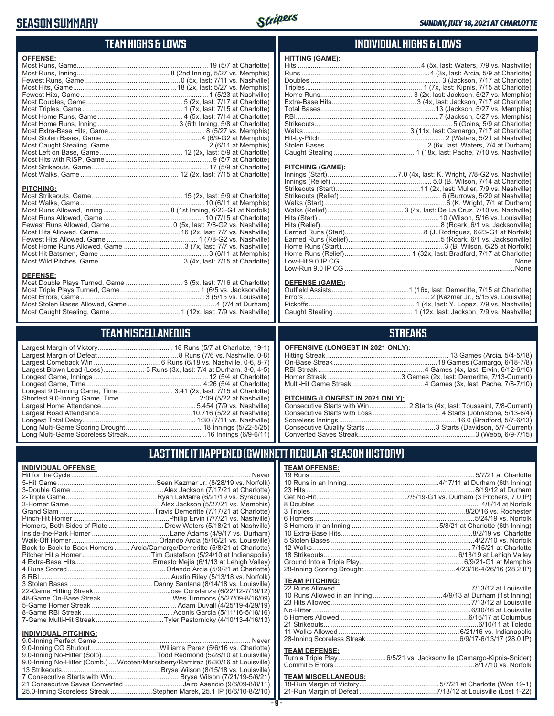## **SEASON SUMMARY**



# **TEAM HIGHS & LOWS**

| <b>OFFENSE:</b>                                              |  |
|--------------------------------------------------------------|--|
|                                                              |  |
|                                                              |  |
|                                                              |  |
|                                                              |  |
|                                                              |  |
|                                                              |  |
|                                                              |  |
|                                                              |  |
|                                                              |  |
|                                                              |  |
|                                                              |  |
|                                                              |  |
|                                                              |  |
|                                                              |  |
|                                                              |  |
|                                                              |  |
| <b>PITCHING:</b>                                             |  |
|                                                              |  |
|                                                              |  |
|                                                              |  |
|                                                              |  |
|                                                              |  |
|                                                              |  |
|                                                              |  |
| Most Home Runs Allowed, Game 3 (7x, last: 7/7 vs. Nashville) |  |
|                                                              |  |
|                                                              |  |
|                                                              |  |

#### **DEFENSE:**

## **TEAM MISCELLANEOUS**

| Largest Blown Lead (Loss) 3 Runs (3x, last: 7/4 at Durham, 3-0, 4-5) |
|----------------------------------------------------------------------|
|                                                                      |
| Longest Game, Time……………………………………………………4:26 (5/4 at Charlotte)        |
| Longest 9.0-Inning Game, Time 3:41 (2x, last: 7/15 at Charlotte)     |
|                                                                      |
|                                                                      |
|                                                                      |
|                                                                      |
|                                                                      |
|                                                                      |
|                                                                      |

### **INDIVIDUAL HIGHS & LOWS**

| <b>HITTING (GAME):</b> |  |
|------------------------|--|
|                        |  |
|                        |  |
|                        |  |
|                        |  |
|                        |  |
|                        |  |
|                        |  |
|                        |  |
|                        |  |
|                        |  |
|                        |  |
|                        |  |
|                        |  |
|                        |  |

#### **PITCHING (GAME):**

#### **DEFENSE (GAME):**

### **STREAKS**

#### **OFFENSIVE (LONGEST IN 2021 ONLY):**

#### **PITCHING (LONGEST IN 2021 ONLY):**

### **LAST TIME IT HAPPENED (GWINNETT REGULAR-SEASON HISTORY)**

#### **INDIVIDUAL OFFENSE:**

|                             | Homers, Both Sides of Plate  Drew Waters (5/18/21 at Nashville)            |
|-----------------------------|----------------------------------------------------------------------------|
|                             |                                                                            |
|                             |                                                                            |
|                             | Back-to-Back-to-Back Homers  Arcia/Camargo/Demeritte (5/8/21 at Charlotte) |
|                             |                                                                            |
|                             |                                                                            |
|                             |                                                                            |
|                             |                                                                            |
|                             |                                                                            |
|                             |                                                                            |
|                             |                                                                            |
|                             |                                                                            |
|                             |                                                                            |
|                             |                                                                            |
| <b>INDIVIDUAL PITCHING:</b> |                                                                            |
|                             |                                                                            |

| 9.0-Inning No-Hitter (Solo)Todd Redmond (5/28/10 at Louisville)                 |  |
|---------------------------------------------------------------------------------|--|
| 9.0-Inning No-Hitter (Comb.)  Wooten/Marksberry/Ramirez (6/30/16 at Louisville) |  |
|                                                                                 |  |
|                                                                                 |  |
| 21 Consecutive Saves Converted Jairo Asencio (9/6/09-8/8/11)                    |  |
| 25.0-Inning Scoreless Streak Stephen Marek, 25.1 IP (6/6/10-8/2/10)             |  |

# **TEAM OFFENSE:**

| <b>TEAM PITCHING:</b> |  |
|-----------------------|--|
|                       |  |
|                       |  |
|                       |  |
|                       |  |
|                       |  |

| 5 Homers Allowed ………………………………………………………………6/16/17 at Columbus |  |
|--------------------------------------------------------------|--|
|                                                              |  |
|                                                              |  |
|                                                              |  |
|                                                              |  |

#### **TEAM DEFENSE:**

| Turn a Triple Play 6/5/21 vs. Jacksonville (Camargo-Kipnis-Snider) |
|--------------------------------------------------------------------|
|                                                                    |

## **TEAM MISCELLANEOUS:**<br>18-Run Margin of Victory....